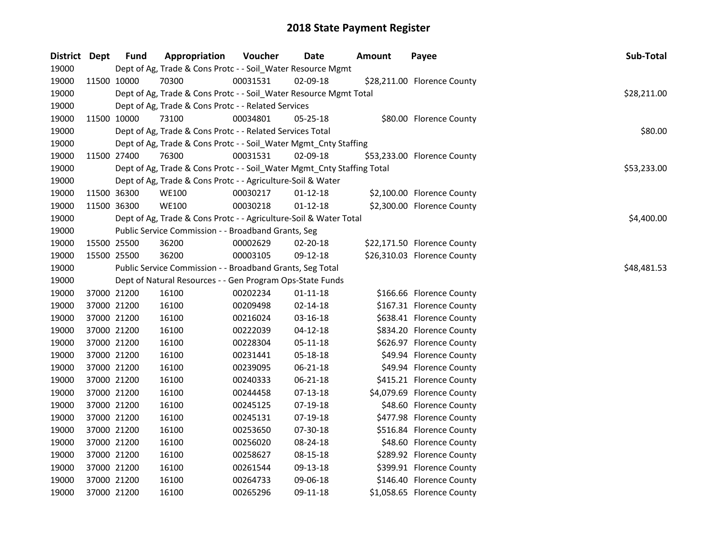| District Dept |             | <b>Fund</b> | Appropriation                                                          | Voucher  | Date           | <b>Amount</b> | Payee                       | Sub-Total   |
|---------------|-------------|-------------|------------------------------------------------------------------------|----------|----------------|---------------|-----------------------------|-------------|
| 19000         |             |             | Dept of Ag, Trade & Cons Protc - - Soil_Water Resource Mgmt            |          |                |               |                             |             |
| 19000         | 11500 10000 |             | 70300                                                                  | 00031531 | 02-09-18       |               | \$28,211.00 Florence County |             |
| 19000         |             |             | Dept of Ag, Trade & Cons Protc - - Soil_Water Resource Mgmt Total      |          |                |               |                             | \$28,211.00 |
| 19000         |             |             | Dept of Ag, Trade & Cons Protc - - Related Services                    |          |                |               |                             |             |
| 19000         |             | 11500 10000 | 73100                                                                  | 00034801 | $05 - 25 - 18$ |               | \$80.00 Florence County     |             |
| 19000         |             |             | Dept of Ag, Trade & Cons Protc - - Related Services Total              |          |                |               |                             | \$80.00     |
| 19000         |             |             | Dept of Ag, Trade & Cons Protc - - Soil_Water Mgmt_Cnty Staffing       |          |                |               |                             |             |
| 19000         | 11500 27400 |             | 76300                                                                  | 00031531 | $02 - 09 - 18$ |               | \$53,233.00 Florence County |             |
| 19000         |             |             | Dept of Ag, Trade & Cons Protc - - Soil_Water Mgmt_Cnty Staffing Total |          |                |               |                             | \$53,233.00 |
| 19000         |             |             | Dept of Ag, Trade & Cons Protc - - Agriculture-Soil & Water            |          |                |               |                             |             |
| 19000         | 11500 36300 |             | <b>WE100</b>                                                           | 00030217 | $01-12-18$     |               | \$2,100.00 Florence County  |             |
| 19000         |             | 11500 36300 | <b>WE100</b>                                                           | 00030218 | $01-12-18$     |               | \$2,300.00 Florence County  |             |
| 19000         |             |             | Dept of Ag, Trade & Cons Protc - - Agriculture-Soil & Water Total      |          |                |               |                             | \$4,400.00  |
| 19000         |             |             | Public Service Commission - - Broadband Grants, Seg                    |          |                |               |                             |             |
| 19000         | 15500 25500 |             | 36200                                                                  | 00002629 | 02-20-18       |               | \$22,171.50 Florence County |             |
| 19000         | 15500 25500 |             | 36200                                                                  | 00003105 | 09-12-18       |               | \$26,310.03 Florence County |             |
| 19000         |             |             | Public Service Commission - - Broadband Grants, Seg Total              |          |                |               |                             | \$48,481.53 |
| 19000         |             |             | Dept of Natural Resources - - Gen Program Ops-State Funds              |          |                |               |                             |             |
| 19000         |             | 37000 21200 | 16100                                                                  | 00202234 | $01 - 11 - 18$ |               | \$166.66 Florence County    |             |
| 19000         | 37000 21200 |             | 16100                                                                  | 00209498 | 02-14-18       |               | \$167.31 Florence County    |             |
| 19000         | 37000 21200 |             | 16100                                                                  | 00216024 | 03-16-18       |               | \$638.41 Florence County    |             |
| 19000         | 37000 21200 |             | 16100                                                                  | 00222039 | $04 - 12 - 18$ |               | \$834.20 Florence County    |             |
| 19000         | 37000 21200 |             | 16100                                                                  | 00228304 | 05-11-18       |               | \$626.97 Florence County    |             |
| 19000         | 37000 21200 |             | 16100                                                                  | 00231441 | 05-18-18       |               | \$49.94 Florence County     |             |
| 19000         | 37000 21200 |             | 16100                                                                  | 00239095 | 06-21-18       |               | \$49.94 Florence County     |             |
| 19000         | 37000 21200 |             | 16100                                                                  | 00240333 | 06-21-18       |               | \$415.21 Florence County    |             |
| 19000         | 37000 21200 |             | 16100                                                                  | 00244458 | 07-13-18       |               | \$4,079.69 Florence County  |             |
| 19000         | 37000 21200 |             | 16100                                                                  | 00245125 | 07-19-18       |               | \$48.60 Florence County     |             |
| 19000         |             | 37000 21200 | 16100                                                                  | 00245131 | 07-19-18       |               | \$477.98 Florence County    |             |
| 19000         | 37000 21200 |             | 16100                                                                  | 00253650 | 07-30-18       |               | \$516.84 Florence County    |             |
| 19000         | 37000 21200 |             | 16100                                                                  | 00256020 | 08-24-18       |               | \$48.60 Florence County     |             |
| 19000         | 37000 21200 |             | 16100                                                                  | 00258627 | 08-15-18       |               | \$289.92 Florence County    |             |
| 19000         | 37000 21200 |             | 16100                                                                  | 00261544 | 09-13-18       |               | \$399.91 Florence County    |             |
| 19000         | 37000 21200 |             | 16100                                                                  | 00264733 | 09-06-18       |               | \$146.40 Florence County    |             |
| 19000         | 37000 21200 |             | 16100                                                                  | 00265296 | 09-11-18       |               | \$1,058.65 Florence County  |             |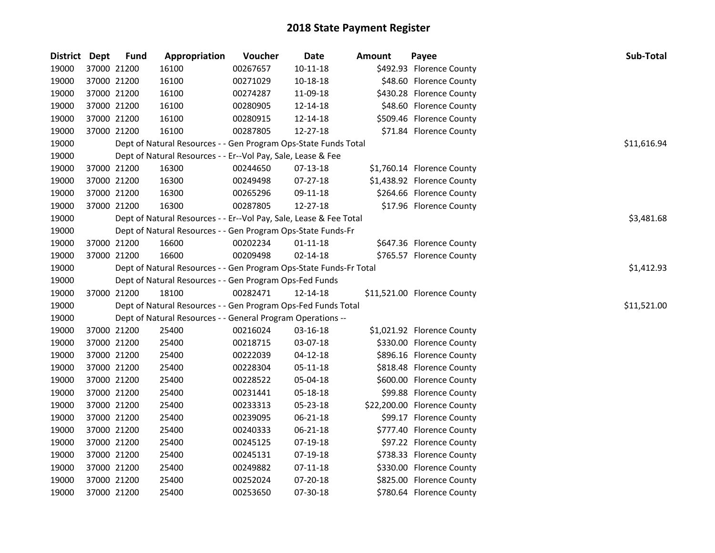| District Dept |             | <b>Fund</b> | Appropriation                                                      | Voucher  | Date           | <b>Amount</b> | Payee                       | Sub-Total   |
|---------------|-------------|-------------|--------------------------------------------------------------------|----------|----------------|---------------|-----------------------------|-------------|
| 19000         |             | 37000 21200 | 16100                                                              | 00267657 | $10 - 11 - 18$ |               | \$492.93 Florence County    |             |
| 19000         |             | 37000 21200 | 16100                                                              | 00271029 | 10-18-18       |               | \$48.60 Florence County     |             |
| 19000         |             | 37000 21200 | 16100                                                              | 00274287 | 11-09-18       |               | \$430.28 Florence County    |             |
| 19000         |             | 37000 21200 | 16100                                                              | 00280905 | 12-14-18       |               | \$48.60 Florence County     |             |
| 19000         |             | 37000 21200 | 16100                                                              | 00280915 | 12-14-18       |               | \$509.46 Florence County    |             |
| 19000         |             | 37000 21200 | 16100                                                              | 00287805 | 12-27-18       |               | \$71.84 Florence County     |             |
| 19000         |             |             | Dept of Natural Resources - - Gen Program Ops-State Funds Total    |          |                |               |                             | \$11,616.94 |
| 19000         |             |             | Dept of Natural Resources - - Er--Vol Pay, Sale, Lease & Fee       |          |                |               |                             |             |
| 19000         |             | 37000 21200 | 16300                                                              | 00244650 | 07-13-18       |               | \$1,760.14 Florence County  |             |
| 19000         |             | 37000 21200 | 16300                                                              | 00249498 | 07-27-18       |               | \$1,438.92 Florence County  |             |
| 19000         | 37000 21200 |             | 16300                                                              | 00265296 | 09-11-18       |               | \$264.66 Florence County    |             |
| 19000         |             | 37000 21200 | 16300                                                              | 00287805 | 12-27-18       |               | \$17.96 Florence County     |             |
| 19000         |             |             | Dept of Natural Resources - - Er--Vol Pay, Sale, Lease & Fee Total |          |                |               |                             | \$3,481.68  |
| 19000         |             |             | Dept of Natural Resources - - Gen Program Ops-State Funds-Fr       |          |                |               |                             |             |
| 19000         |             | 37000 21200 | 16600                                                              | 00202234 | $01 - 11 - 18$ |               | \$647.36 Florence County    |             |
| 19000         |             | 37000 21200 | 16600                                                              | 00209498 | $02 - 14 - 18$ |               | \$765.57 Florence County    |             |
| 19000         |             |             | Dept of Natural Resources - - Gen Program Ops-State Funds-Fr Total |          |                |               |                             | \$1,412.93  |
| 19000         |             |             | Dept of Natural Resources - - Gen Program Ops-Fed Funds            |          |                |               |                             |             |
| 19000         |             | 37000 21200 | 18100                                                              | 00282471 | 12-14-18       |               | \$11,521.00 Florence County |             |
| 19000         |             |             | Dept of Natural Resources - - Gen Program Ops-Fed Funds Total      |          |                |               |                             | \$11,521.00 |
| 19000         |             |             | Dept of Natural Resources - - General Program Operations --        |          |                |               |                             |             |
| 19000         |             | 37000 21200 | 25400                                                              | 00216024 | 03-16-18       |               | \$1,021.92 Florence County  |             |
| 19000         | 37000 21200 |             | 25400                                                              | 00218715 | 03-07-18       |               | \$330.00 Florence County    |             |
| 19000         |             | 37000 21200 | 25400                                                              | 00222039 | 04-12-18       |               | \$896.16 Florence County    |             |
| 19000         |             | 37000 21200 | 25400                                                              | 00228304 | 05-11-18       |               | \$818.48 Florence County    |             |
| 19000         |             | 37000 21200 | 25400                                                              | 00228522 | 05-04-18       |               | \$600.00 Florence County    |             |
| 19000         |             | 37000 21200 | 25400                                                              | 00231441 | 05-18-18       |               | \$99.88 Florence County     |             |
| 19000         |             | 37000 21200 | 25400                                                              | 00233313 | 05-23-18       |               | \$22,200.00 Florence County |             |
| 19000         |             | 37000 21200 | 25400                                                              | 00239095 | 06-21-18       |               | \$99.17 Florence County     |             |
| 19000         |             | 37000 21200 | 25400                                                              | 00240333 | 06-21-18       |               | \$777.40 Florence County    |             |
| 19000         |             | 37000 21200 | 25400                                                              | 00245125 | 07-19-18       |               | \$97.22 Florence County     |             |
| 19000         |             | 37000 21200 | 25400                                                              | 00245131 | 07-19-18       |               | \$738.33 Florence County    |             |
| 19000         |             | 37000 21200 | 25400                                                              | 00249882 | $07 - 11 - 18$ |               | \$330.00 Florence County    |             |
| 19000         |             | 37000 21200 | 25400                                                              | 00252024 | 07-20-18       |               | \$825.00 Florence County    |             |
| 19000         |             | 37000 21200 | 25400                                                              | 00253650 | 07-30-18       |               | \$780.64 Florence County    |             |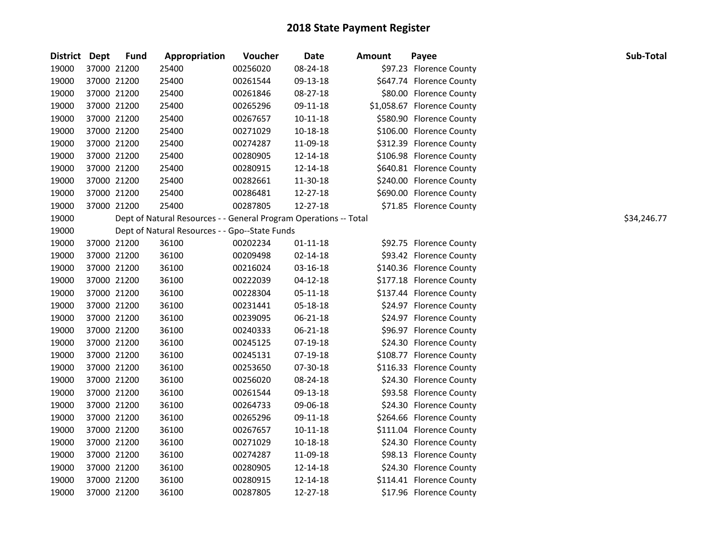| <b>District Dept</b> |             | <b>Fund</b> | Appropriation                                                     | Voucher  | Date           | <b>Amount</b> | Payee                      | Sub-Total   |
|----------------------|-------------|-------------|-------------------------------------------------------------------|----------|----------------|---------------|----------------------------|-------------|
| 19000                | 37000 21200 |             | 25400                                                             | 00256020 | 08-24-18       |               | \$97.23 Florence County    |             |
| 19000                | 37000 21200 |             | 25400                                                             | 00261544 | 09-13-18       |               | \$647.74 Florence County   |             |
| 19000                | 37000 21200 |             | 25400                                                             | 00261846 | 08-27-18       |               | \$80.00 Florence County    |             |
| 19000                | 37000 21200 |             | 25400                                                             | 00265296 | 09-11-18       |               | \$1,058.67 Florence County |             |
| 19000                | 37000 21200 |             | 25400                                                             | 00267657 | $10 - 11 - 18$ |               | \$580.90 Florence County   |             |
| 19000                | 37000 21200 |             | 25400                                                             | 00271029 | 10-18-18       |               | \$106.00 Florence County   |             |
| 19000                | 37000 21200 |             | 25400                                                             | 00274287 | 11-09-18       |               | \$312.39 Florence County   |             |
| 19000                | 37000 21200 |             | 25400                                                             | 00280905 | 12-14-18       |               | \$106.98 Florence County   |             |
| 19000                | 37000 21200 |             | 25400                                                             | 00280915 | 12-14-18       |               | \$640.81 Florence County   |             |
| 19000                | 37000 21200 |             | 25400                                                             | 00282661 | 11-30-18       |               | \$240.00 Florence County   |             |
| 19000                | 37000 21200 |             | 25400                                                             | 00286481 | 12-27-18       |               | \$690.00 Florence County   |             |
| 19000                | 37000 21200 |             | 25400                                                             | 00287805 | 12-27-18       |               | \$71.85 Florence County    |             |
| 19000                |             |             | Dept of Natural Resources - - General Program Operations -- Total |          |                |               |                            | \$34,246.77 |
| 19000                |             |             | Dept of Natural Resources - - Gpo--State Funds                    |          |                |               |                            |             |
| 19000                | 37000 21200 |             | 36100                                                             | 00202234 | $01 - 11 - 18$ |               | \$92.75 Florence County    |             |
| 19000                | 37000 21200 |             | 36100                                                             | 00209498 | $02 - 14 - 18$ |               | \$93.42 Florence County    |             |
| 19000                | 37000 21200 |             | 36100                                                             | 00216024 | 03-16-18       |               | \$140.36 Florence County   |             |
| 19000                | 37000 21200 |             | 36100                                                             | 00222039 | $04 - 12 - 18$ |               | \$177.18 Florence County   |             |
| 19000                | 37000 21200 |             | 36100                                                             | 00228304 | 05-11-18       |               | \$137.44 Florence County   |             |
| 19000                | 37000 21200 |             | 36100                                                             | 00231441 | 05-18-18       |               | \$24.97 Florence County    |             |
| 19000                | 37000 21200 |             | 36100                                                             | 00239095 | 06-21-18       |               | \$24.97 Florence County    |             |
| 19000                | 37000 21200 |             | 36100                                                             | 00240333 | 06-21-18       |               | \$96.97 Florence County    |             |
| 19000                | 37000 21200 |             | 36100                                                             | 00245125 | 07-19-18       |               | \$24.30 Florence County    |             |
| 19000                | 37000 21200 |             | 36100                                                             | 00245131 | 07-19-18       |               | \$108.77 Florence County   |             |
| 19000                | 37000 21200 |             | 36100                                                             | 00253650 | 07-30-18       |               | \$116.33 Florence County   |             |
| 19000                | 37000 21200 |             | 36100                                                             | 00256020 | 08-24-18       |               | \$24.30 Florence County    |             |
| 19000                | 37000 21200 |             | 36100                                                             | 00261544 | 09-13-18       |               | \$93.58 Florence County    |             |
| 19000                | 37000 21200 |             | 36100                                                             | 00264733 | 09-06-18       |               | \$24.30 Florence County    |             |
| 19000                | 37000 21200 |             | 36100                                                             | 00265296 | 09-11-18       |               | \$264.66 Florence County   |             |
| 19000                | 37000 21200 |             | 36100                                                             | 00267657 | $10 - 11 - 18$ |               | \$111.04 Florence County   |             |
| 19000                | 37000 21200 |             | 36100                                                             | 00271029 | 10-18-18       |               | \$24.30 Florence County    |             |
| 19000                | 37000 21200 |             | 36100                                                             | 00274287 | 11-09-18       |               | \$98.13 Florence County    |             |
| 19000                | 37000 21200 |             | 36100                                                             | 00280905 | 12-14-18       |               | \$24.30 Florence County    |             |
| 19000                | 37000 21200 |             | 36100                                                             | 00280915 | 12-14-18       |               | \$114.41 Florence County   |             |
| 19000                | 37000 21200 |             | 36100                                                             | 00287805 | 12-27-18       |               | \$17.96 Florence County    |             |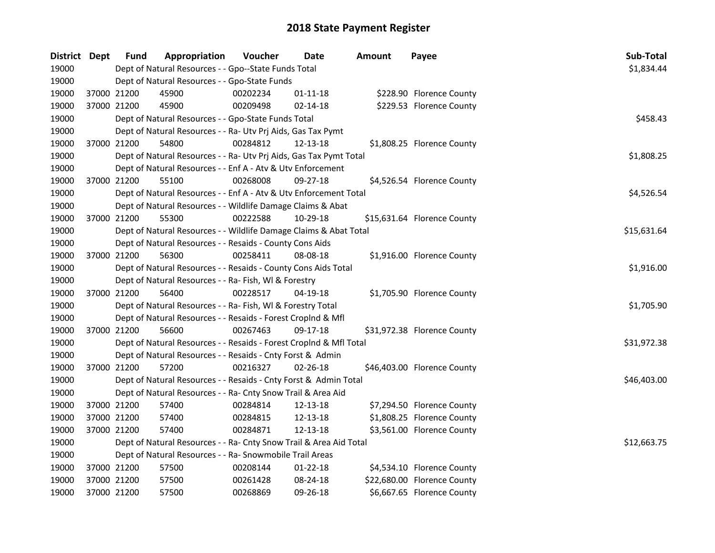| District Dept | Fund                                                 | Appropriation                                                      | Voucher  | Date           | Amount | Payee                       | Sub-Total   |  |  |
|---------------|------------------------------------------------------|--------------------------------------------------------------------|----------|----------------|--------|-----------------------------|-------------|--|--|
| 19000         | Dept of Natural Resources - - Gpo--State Funds Total |                                                                    |          |                |        |                             |             |  |  |
| 19000         |                                                      | Dept of Natural Resources - - Gpo-State Funds                      |          |                |        |                             |             |  |  |
| 19000         | 37000 21200                                          | 45900                                                              | 00202234 | 01-11-18       |        | \$228.90 Florence County    |             |  |  |
| 19000         | 37000 21200                                          | 45900                                                              | 00209498 | $02 - 14 - 18$ |        | \$229.53 Florence County    |             |  |  |
| 19000         |                                                      | Dept of Natural Resources - - Gpo-State Funds Total                |          |                |        |                             | \$458.43    |  |  |
| 19000         |                                                      | Dept of Natural Resources - - Ra- Utv Prj Aids, Gas Tax Pymt       |          |                |        |                             |             |  |  |
| 19000         | 37000 21200                                          | 54800                                                              | 00284812 | 12-13-18       |        | \$1,808.25 Florence County  |             |  |  |
| 19000         |                                                      | Dept of Natural Resources - - Ra- Utv Prj Aids, Gas Tax Pymt Total |          |                |        |                             | \$1,808.25  |  |  |
| 19000         |                                                      | Dept of Natural Resources - - Enf A - Atv & Utv Enforcement        |          |                |        |                             |             |  |  |
| 19000         | 37000 21200                                          | 55100                                                              | 00268008 | 09-27-18       |        | \$4,526.54 Florence County  |             |  |  |
| 19000         |                                                      | Dept of Natural Resources - - Enf A - Atv & Utv Enforcement Total  |          |                |        |                             | \$4,526.54  |  |  |
| 19000         |                                                      | Dept of Natural Resources - - Wildlife Damage Claims & Abat        |          |                |        |                             |             |  |  |
| 19000         | 37000 21200                                          | 55300                                                              | 00222588 | 10-29-18       |        | \$15,631.64 Florence County |             |  |  |
| 19000         |                                                      | Dept of Natural Resources - - Wildlife Damage Claims & Abat Total  |          |                |        |                             | \$15,631.64 |  |  |
| 19000         |                                                      | Dept of Natural Resources - - Resaids - County Cons Aids           |          |                |        |                             |             |  |  |
| 19000         | 37000 21200                                          | 56300                                                              | 00258411 | 08-08-18       |        | \$1,916.00 Florence County  |             |  |  |
| 19000         |                                                      | Dept of Natural Resources - - Resaids - County Cons Aids Total     |          |                |        |                             | \$1,916.00  |  |  |
| 19000         |                                                      | Dept of Natural Resources - - Ra- Fish, WI & Forestry              |          |                |        |                             |             |  |  |
| 19000         | 37000 21200                                          | 56400                                                              | 00228517 | 04-19-18       |        | \$1,705.90 Florence County  |             |  |  |
| 19000         |                                                      | Dept of Natural Resources - - Ra- Fish, WI & Forestry Total        |          |                |        |                             | \$1,705.90  |  |  |
| 19000         |                                                      | Dept of Natural Resources - - Resaids - Forest Croplnd & Mfl       |          |                |        |                             |             |  |  |
| 19000         | 37000 21200                                          | 56600                                                              | 00267463 | 09-17-18       |        | \$31,972.38 Florence County |             |  |  |
| 19000         |                                                      | Dept of Natural Resources - - Resaids - Forest CropInd & Mfl Total |          |                |        |                             | \$31,972.38 |  |  |
| 19000         |                                                      | Dept of Natural Resources - - Resaids - Cnty Forst & Admin         |          |                |        |                             |             |  |  |
| 19000         | 37000 21200                                          | 57200                                                              | 00216327 | $02 - 26 - 18$ |        | \$46,403.00 Florence County |             |  |  |
| 19000         |                                                      | Dept of Natural Resources - - Resaids - Cnty Forst & Admin Total   |          |                |        |                             | \$46,403.00 |  |  |
| 19000         |                                                      | Dept of Natural Resources - - Ra- Cnty Snow Trail & Area Aid       |          |                |        |                             |             |  |  |
| 19000         | 37000 21200                                          | 57400                                                              | 00284814 | 12-13-18       |        | \$7,294.50 Florence County  |             |  |  |
| 19000         | 37000 21200                                          | 57400                                                              | 00284815 | 12-13-18       |        | \$1,808.25 Florence County  |             |  |  |
| 19000         | 37000 21200                                          | 57400                                                              | 00284871 | 12-13-18       |        | \$3,561.00 Florence County  |             |  |  |
| 19000         |                                                      | Dept of Natural Resources - - Ra- Cnty Snow Trail & Area Aid Total |          |                |        |                             | \$12,663.75 |  |  |
| 19000         |                                                      | Dept of Natural Resources - - Ra- Snowmobile Trail Areas           |          |                |        |                             |             |  |  |
| 19000         | 37000 21200                                          | 57500                                                              | 00208144 | $01 - 22 - 18$ |        | \$4,534.10 Florence County  |             |  |  |
| 19000         | 37000 21200                                          | 57500                                                              | 00261428 | 08-24-18       |        | \$22,680.00 Florence County |             |  |  |
| 19000         | 37000 21200                                          | 57500                                                              | 00268869 | 09-26-18       |        | \$6,667.65 Florence County  |             |  |  |
|               |                                                      |                                                                    |          |                |        |                             |             |  |  |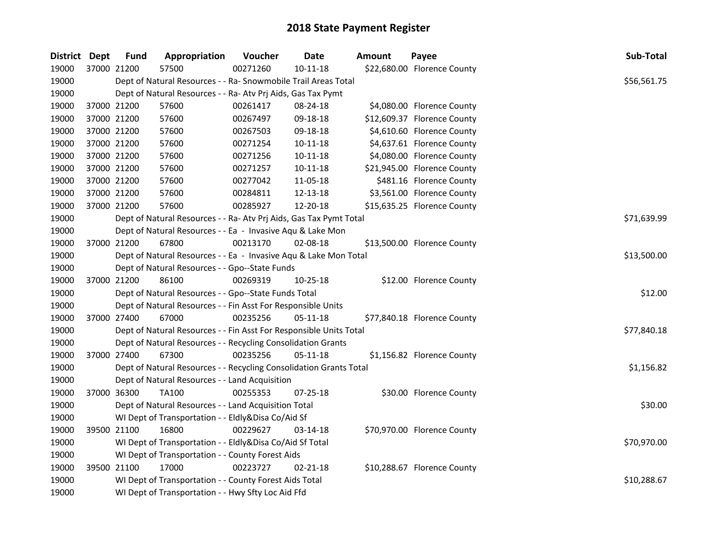| District Dept |             | <b>Fund</b> | Appropriation                                                      | Voucher     | Date           | Amount | Payee                       | Sub-Total   |
|---------------|-------------|-------------|--------------------------------------------------------------------|-------------|----------------|--------|-----------------------------|-------------|
| 19000         |             | 37000 21200 | 57500                                                              | 00271260    | $10 - 11 - 18$ |        | \$22,680.00 Florence County |             |
| 19000         |             |             | Dept of Natural Resources - - Ra- Snowmobile Trail Areas Total     |             |                |        |                             | \$56,561.75 |
| 19000         |             |             | Dept of Natural Resources - - Ra- Atv Prj Aids, Gas Tax Pymt       |             |                |        |                             |             |
| 19000         | 37000 21200 |             | 57600                                                              | 00261417    | 08-24-18       |        | \$4,080.00 Florence County  |             |
| 19000         | 37000 21200 |             | 57600                                                              | 00267497    | 09-18-18       |        | \$12,609.37 Florence County |             |
| 19000         | 37000 21200 |             | 57600                                                              | 00267503    | 09-18-18       |        | \$4,610.60 Florence County  |             |
| 19000         | 37000 21200 |             | 57600                                                              | 00271254    | $10 - 11 - 18$ |        | \$4,637.61 Florence County  |             |
| 19000         | 37000 21200 |             | 57600                                                              | 00271256    | $10 - 11 - 18$ |        | \$4,080.00 Florence County  |             |
| 19000         | 37000 21200 |             | 57600                                                              | 00271257    | 10-11-18       |        | \$21,945.00 Florence County |             |
| 19000         | 37000 21200 |             | 57600                                                              | 00277042    | 11-05-18       |        | \$481.16 Florence County    |             |
| 19000         | 37000 21200 |             | 57600                                                              | 00284811    | 12-13-18       |        | \$3,561.00 Florence County  |             |
| 19000         |             | 37000 21200 | 57600                                                              | 00285927    | 12-20-18       |        | \$15,635.25 Florence County |             |
| 19000         |             |             | Dept of Natural Resources - - Ra- Atv Prj Aids, Gas Tax Pymt Total |             |                |        |                             | \$71,639.99 |
| 19000         |             |             | Dept of Natural Resources - - Ea - Invasive Aqu & Lake Mon         |             |                |        |                             |             |
| 19000         |             | 37000 21200 | 67800                                                              | 00213170    | 02-08-18       |        | \$13,500.00 Florence County |             |
| 19000         |             |             | Dept of Natural Resources - - Ea - Invasive Aqu & Lake Mon Total   | \$13,500.00 |                |        |                             |             |
| 19000         |             |             | Dept of Natural Resources - - Gpo--State Funds                     |             |                |        |                             |             |
| 19000         |             | 37000 21200 | 86100                                                              | 00269319    | 10-25-18       |        | \$12.00 Florence County     |             |
| 19000         |             |             | Dept of Natural Resources - - Gpo--State Funds Total               |             |                |        |                             | \$12.00     |
| 19000         |             |             | Dept of Natural Resources - - Fin Asst For Responsible Units       |             |                |        |                             |             |
| 19000         | 37000 27400 |             | 67000                                                              | 00235256    | 05-11-18       |        | \$77,840.18 Florence County |             |
| 19000         |             |             | Dept of Natural Resources - - Fin Asst For Responsible Units Total |             |                |        |                             | \$77,840.18 |
| 19000         |             |             | Dept of Natural Resources - - Recycling Consolidation Grants       |             |                |        |                             |             |
| 19000         |             | 37000 27400 | 67300                                                              | 00235256    | 05-11-18       |        | \$1,156.82 Florence County  |             |
| 19000         |             |             | Dept of Natural Resources - - Recycling Consolidation Grants Total |             |                |        |                             | \$1,156.82  |
| 19000         |             |             | Dept of Natural Resources - - Land Acquisition                     |             |                |        |                             |             |
| 19000         |             | 37000 36300 | <b>TA100</b>                                                       | 00255353    | $07 - 25 - 18$ |        | \$30.00 Florence County     |             |
| 19000         |             |             | Dept of Natural Resources - - Land Acquisition Total               |             |                |        |                             | \$30.00     |
| 19000         |             |             | WI Dept of Transportation - - Eldly&Disa Co/Aid Sf                 |             |                |        |                             |             |
| 19000         |             | 39500 21100 | 16800                                                              | 00229627    | 03-14-18       |        | \$70,970.00 Florence County |             |
| 19000         |             |             | WI Dept of Transportation - - Eldly&Disa Co/Aid Sf Total           |             |                |        |                             | \$70,970.00 |
| 19000         |             |             | WI Dept of Transportation - - County Forest Aids                   |             |                |        |                             |             |
| 19000         |             | 39500 21100 | 17000                                                              | 00223727    | $02 - 21 - 18$ |        | \$10,288.67 Florence County |             |
| 19000         |             |             | WI Dept of Transportation - - County Forest Aids Total             |             |                |        |                             | \$10,288.67 |
| 19000         |             |             | WI Dept of Transportation - - Hwy Sfty Loc Aid Ffd                 |             |                |        |                             |             |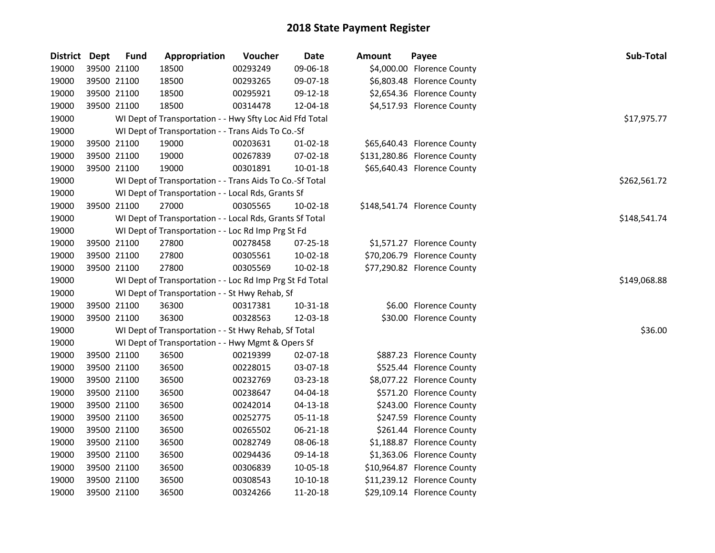| <b>District</b> | <b>Dept</b> | <b>Fund</b> | Appropriation                                            | Voucher  | Date           | <b>Amount</b> | Payee                        | Sub-Total    |
|-----------------|-------------|-------------|----------------------------------------------------------|----------|----------------|---------------|------------------------------|--------------|
| 19000           |             | 39500 21100 | 18500                                                    | 00293249 | 09-06-18       |               | \$4,000.00 Florence County   |              |
| 19000           |             | 39500 21100 | 18500                                                    | 00293265 | 09-07-18       |               | \$6,803.48 Florence County   |              |
| 19000           |             | 39500 21100 | 18500                                                    | 00295921 | 09-12-18       |               | \$2,654.36 Florence County   |              |
| 19000           |             | 39500 21100 | 18500                                                    | 00314478 | 12-04-18       |               | \$4,517.93 Florence County   |              |
| 19000           |             |             | WI Dept of Transportation - - Hwy Sfty Loc Aid Ffd Total |          |                |               |                              | \$17,975.77  |
| 19000           |             |             | WI Dept of Transportation - - Trans Aids To Co.-Sf       |          |                |               |                              |              |
| 19000           |             | 39500 21100 | 19000                                                    | 00203631 | $01 - 02 - 18$ |               | \$65,640.43 Florence County  |              |
| 19000           |             | 39500 21100 | 19000                                                    | 00267839 | 07-02-18       |               | \$131,280.86 Florence County |              |
| 19000           |             | 39500 21100 | 19000                                                    | 00301891 | 10-01-18       |               | \$65,640.43 Florence County  |              |
| 19000           |             |             | WI Dept of Transportation - - Trans Aids To Co.-Sf Total |          |                |               |                              | \$262,561.72 |
| 19000           |             |             | WI Dept of Transportation - - Local Rds, Grants Sf       |          |                |               |                              |              |
| 19000           |             | 39500 21100 | 27000                                                    | 00305565 | 10-02-18       |               | \$148,541.74 Florence County |              |
| 19000           |             |             | WI Dept of Transportation - - Local Rds, Grants Sf Total |          |                |               |                              | \$148,541.74 |
| 19000           |             |             | WI Dept of Transportation - - Loc Rd Imp Prg St Fd       |          |                |               |                              |              |
| 19000           |             | 39500 21100 | 27800                                                    | 00278458 | 07-25-18       |               | \$1,571.27 Florence County   |              |
| 19000           |             | 39500 21100 | 27800                                                    | 00305561 | 10-02-18       |               | \$70,206.79 Florence County  |              |
| 19000           |             | 39500 21100 | 27800                                                    | 00305569 | 10-02-18       |               | \$77,290.82 Florence County  |              |
| 19000           |             |             | WI Dept of Transportation - - Loc Rd Imp Prg St Fd Total |          |                |               |                              | \$149,068.88 |
| 19000           |             |             | WI Dept of Transportation - - St Hwy Rehab, Sf           |          |                |               |                              |              |
| 19000           |             | 39500 21100 | 36300                                                    | 00317381 | 10-31-18       |               | \$6.00 Florence County       |              |
| 19000           |             | 39500 21100 | 36300                                                    | 00328563 | 12-03-18       |               | \$30.00 Florence County      |              |
| 19000           |             |             | WI Dept of Transportation - - St Hwy Rehab, Sf Total     |          |                |               |                              | \$36.00      |
| 19000           |             |             | WI Dept of Transportation - - Hwy Mgmt & Opers Sf        |          |                |               |                              |              |
| 19000           |             | 39500 21100 | 36500                                                    | 00219399 | 02-07-18       |               | \$887.23 Florence County     |              |
| 19000           |             | 39500 21100 | 36500                                                    | 00228015 | 03-07-18       |               | \$525.44 Florence County     |              |
| 19000           |             | 39500 21100 | 36500                                                    | 00232769 | 03-23-18       |               | \$8,077.22 Florence County   |              |
| 19000           |             | 39500 21100 | 36500                                                    | 00238647 | 04-04-18       |               | \$571.20 Florence County     |              |
| 19000           |             | 39500 21100 | 36500                                                    | 00242014 | $04 - 13 - 18$ |               | \$243.00 Florence County     |              |
| 19000           |             | 39500 21100 | 36500                                                    | 00252775 | 05-11-18       |               | \$247.59 Florence County     |              |
| 19000           |             | 39500 21100 | 36500                                                    | 00265502 | 06-21-18       |               | \$261.44 Florence County     |              |
| 19000           |             | 39500 21100 | 36500                                                    | 00282749 | 08-06-18       |               | \$1,188.87 Florence County   |              |
| 19000           |             | 39500 21100 | 36500                                                    | 00294436 | 09-14-18       |               | \$1,363.06 Florence County   |              |
| 19000           |             | 39500 21100 | 36500                                                    | 00306839 | 10-05-18       |               | \$10,964.87 Florence County  |              |
| 19000           |             | 39500 21100 | 36500                                                    | 00308543 | 10-10-18       |               | \$11,239.12 Florence County  |              |
| 19000           |             | 39500 21100 | 36500                                                    | 00324266 | 11-20-18       |               | \$29,109.14 Florence County  |              |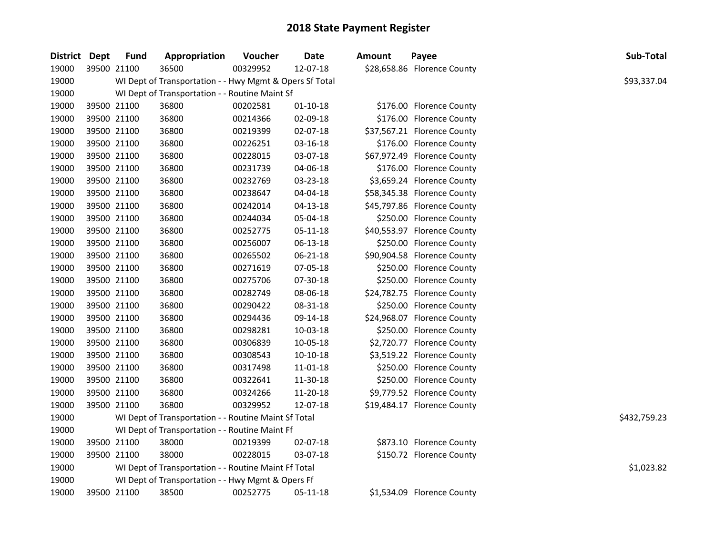| District Dept |             | Fund        | Appropriation                                           | Voucher  | <b>Date</b>    | Amount | Payee                       | Sub-Total    |
|---------------|-------------|-------------|---------------------------------------------------------|----------|----------------|--------|-----------------------------|--------------|
| 19000         |             | 39500 21100 | 36500                                                   | 00329952 | 12-07-18       |        | \$28,658.86 Florence County |              |
| 19000         |             |             | WI Dept of Transportation - - Hwy Mgmt & Opers Sf Total |          |                |        |                             | \$93,337.04  |
| 19000         |             |             | WI Dept of Transportation - - Routine Maint Sf          |          |                |        |                             |              |
| 19000         |             | 39500 21100 | 36800                                                   | 00202581 | $01 - 10 - 18$ |        | \$176.00 Florence County    |              |
| 19000         |             | 39500 21100 | 36800                                                   | 00214366 | 02-09-18       |        | \$176.00 Florence County    |              |
| 19000         |             | 39500 21100 | 36800                                                   | 00219399 | 02-07-18       |        | \$37,567.21 Florence County |              |
| 19000         |             | 39500 21100 | 36800                                                   | 00226251 | 03-16-18       |        | \$176.00 Florence County    |              |
| 19000         |             | 39500 21100 | 36800                                                   | 00228015 | 03-07-18       |        | \$67,972.49 Florence County |              |
| 19000         |             | 39500 21100 | 36800                                                   | 00231739 | 04-06-18       |        | \$176.00 Florence County    |              |
| 19000         |             | 39500 21100 | 36800                                                   | 00232769 | 03-23-18       |        | \$3,659.24 Florence County  |              |
| 19000         | 39500 21100 |             | 36800                                                   | 00238647 | 04-04-18       |        | \$58,345.38 Florence County |              |
| 19000         |             | 39500 21100 | 36800                                                   | 00242014 | 04-13-18       |        | \$45,797.86 Florence County |              |
| 19000         |             | 39500 21100 | 36800                                                   | 00244034 | 05-04-18       |        | \$250.00 Florence County    |              |
| 19000         |             | 39500 21100 | 36800                                                   | 00252775 | 05-11-18       |        | \$40,553.97 Florence County |              |
| 19000         |             | 39500 21100 | 36800                                                   | 00256007 | 06-13-18       |        | \$250.00 Florence County    |              |
| 19000         |             | 39500 21100 | 36800                                                   | 00265502 | 06-21-18       |        | \$90,904.58 Florence County |              |
| 19000         |             | 39500 21100 | 36800                                                   | 00271619 | 07-05-18       |        | \$250.00 Florence County    |              |
| 19000         |             | 39500 21100 | 36800                                                   | 00275706 | 07-30-18       |        | \$250.00 Florence County    |              |
| 19000         |             | 39500 21100 | 36800                                                   | 00282749 | 08-06-18       |        | \$24,782.75 Florence County |              |
| 19000         |             | 39500 21100 | 36800                                                   | 00290422 | 08-31-18       |        | \$250.00 Florence County    |              |
| 19000         |             | 39500 21100 | 36800                                                   | 00294436 | 09-14-18       |        | \$24,968.07 Florence County |              |
| 19000         | 39500 21100 |             | 36800                                                   | 00298281 | 10-03-18       |        | \$250.00 Florence County    |              |
| 19000         | 39500 21100 |             | 36800                                                   | 00306839 | 10-05-18       |        | \$2,720.77 Florence County  |              |
| 19000         | 39500 21100 |             | 36800                                                   | 00308543 | $10-10-18$     |        | \$3,519.22 Florence County  |              |
| 19000         | 39500 21100 |             | 36800                                                   | 00317498 | 11-01-18       |        | \$250.00 Florence County    |              |
| 19000         | 39500 21100 |             | 36800                                                   | 00322641 | 11-30-18       |        | \$250.00 Florence County    |              |
| 19000         |             | 39500 21100 | 36800                                                   | 00324266 | 11-20-18       |        | \$9,779.52 Florence County  |              |
| 19000         |             | 39500 21100 | 36800                                                   | 00329952 | 12-07-18       |        | \$19,484.17 Florence County |              |
| 19000         |             |             | WI Dept of Transportation - - Routine Maint Sf Total    |          |                |        |                             | \$432,759.23 |
| 19000         |             |             | WI Dept of Transportation - - Routine Maint Ff          |          |                |        |                             |              |
| 19000         |             | 39500 21100 | 38000                                                   | 00219399 | 02-07-18       |        | \$873.10 Florence County    |              |
| 19000         |             | 39500 21100 | 38000                                                   | 00228015 | 03-07-18       |        | \$150.72 Florence County    |              |
| 19000         |             |             | WI Dept of Transportation - - Routine Maint Ff Total    |          |                |        |                             | \$1,023.82   |
| 19000         |             |             | WI Dept of Transportation - - Hwy Mgmt & Opers Ff       |          |                |        |                             |              |
| 19000         |             | 39500 21100 | 38500                                                   | 00252775 | 05-11-18       |        | \$1,534.09 Florence County  |              |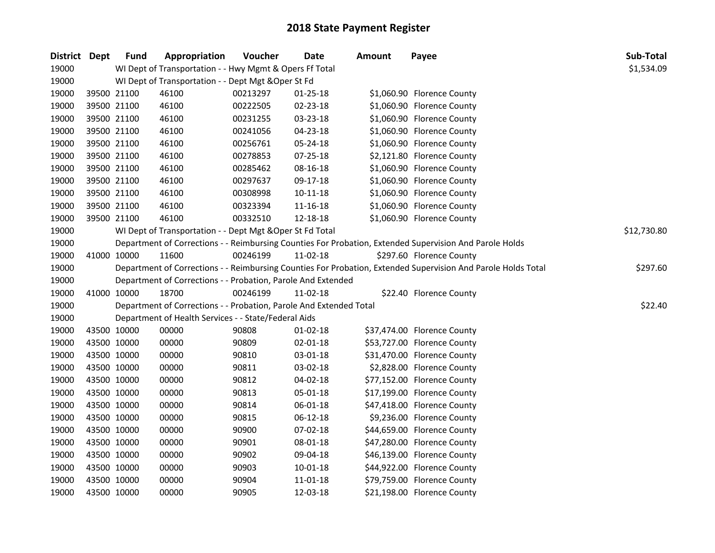| District Dept |             | <b>Fund</b> | Appropriation                                                      | Voucher  | <b>Date</b>    | <b>Amount</b> | Payee                                                                                                         | Sub-Total   |
|---------------|-------------|-------------|--------------------------------------------------------------------|----------|----------------|---------------|---------------------------------------------------------------------------------------------------------------|-------------|
| 19000         |             |             | WI Dept of Transportation - - Hwy Mgmt & Opers Ff Total            |          |                |               |                                                                                                               | \$1,534.09  |
| 19000         |             |             | WI Dept of Transportation - - Dept Mgt & Oper St Fd                |          |                |               |                                                                                                               |             |
| 19000         |             | 39500 21100 | 46100                                                              | 00213297 | $01 - 25 - 18$ |               | \$1,060.90 Florence County                                                                                    |             |
| 19000         |             | 39500 21100 | 46100                                                              | 00222505 | 02-23-18       |               | \$1,060.90 Florence County                                                                                    |             |
| 19000         |             | 39500 21100 | 46100                                                              | 00231255 | 03-23-18       |               | \$1,060.90 Florence County                                                                                    |             |
| 19000         | 39500 21100 |             | 46100                                                              | 00241056 | 04-23-18       |               | \$1,060.90 Florence County                                                                                    |             |
| 19000         | 39500 21100 |             | 46100                                                              | 00256761 | 05-24-18       |               | \$1,060.90 Florence County                                                                                    |             |
| 19000         | 39500 21100 |             | 46100                                                              | 00278853 | 07-25-18       |               | \$2,121.80 Florence County                                                                                    |             |
| 19000         |             | 39500 21100 | 46100                                                              | 00285462 | 08-16-18       |               | \$1,060.90 Florence County                                                                                    |             |
| 19000         | 39500 21100 |             | 46100                                                              | 00297637 | 09-17-18       |               | \$1,060.90 Florence County                                                                                    |             |
| 19000         | 39500 21100 |             | 46100                                                              | 00308998 | 10-11-18       |               | \$1,060.90 Florence County                                                                                    |             |
| 19000         | 39500 21100 |             | 46100                                                              | 00323394 | 11-16-18       |               | \$1,060.90 Florence County                                                                                    |             |
| 19000         | 39500 21100 |             | 46100                                                              | 00332510 | 12-18-18       |               | \$1,060.90 Florence County                                                                                    |             |
| 19000         |             |             | WI Dept of Transportation - - Dept Mgt & Oper St Fd Total          |          |                |               |                                                                                                               | \$12,730.80 |
| 19000         |             |             |                                                                    |          |                |               | Department of Corrections - - Reimbursing Counties For Probation, Extended Supervision And Parole Holds       |             |
| 19000         |             | 41000 10000 | 11600                                                              | 00246199 | 11-02-18       |               | \$297.60 Florence County                                                                                      |             |
| 19000         |             |             |                                                                    |          |                |               | Department of Corrections - - Reimbursing Counties For Probation, Extended Supervision And Parole Holds Total | \$297.60    |
| 19000         |             |             | Department of Corrections - - Probation, Parole And Extended       |          |                |               |                                                                                                               |             |
| 19000         |             | 41000 10000 | 18700                                                              | 00246199 | 11-02-18       |               | \$22.40 Florence County                                                                                       |             |
| 19000         |             |             | Department of Corrections - - Probation, Parole And Extended Total |          |                |               |                                                                                                               | \$22.40     |
| 19000         |             |             | Department of Health Services - - State/Federal Aids               |          |                |               |                                                                                                               |             |
| 19000         |             | 43500 10000 | 00000                                                              | 90808    | $01 - 02 - 18$ |               | \$37,474.00 Florence County                                                                                   |             |
| 19000         | 43500 10000 |             | 00000                                                              | 90809    | $02 - 01 - 18$ |               | \$53,727.00 Florence County                                                                                   |             |
| 19000         | 43500 10000 |             | 00000                                                              | 90810    | 03-01-18       |               | \$31,470.00 Florence County                                                                                   |             |
| 19000         | 43500 10000 |             | 00000                                                              | 90811    | 03-02-18       |               | \$2,828.00 Florence County                                                                                    |             |
| 19000         | 43500 10000 |             | 00000                                                              | 90812    | 04-02-18       |               | \$77,152.00 Florence County                                                                                   |             |
| 19000         | 43500 10000 |             | 00000                                                              | 90813    | 05-01-18       |               | \$17,199.00 Florence County                                                                                   |             |
| 19000         |             | 43500 10000 | 00000                                                              | 90814    | 06-01-18       |               | \$47,418.00 Florence County                                                                                   |             |
| 19000         |             | 43500 10000 | 00000                                                              | 90815    | 06-12-18       |               | \$9,236.00 Florence County                                                                                    |             |
| 19000         | 43500 10000 |             | 00000                                                              | 90900    | 07-02-18       |               | \$44,659.00 Florence County                                                                                   |             |
| 19000         |             | 43500 10000 | 00000                                                              | 90901    | 08-01-18       |               | \$47,280.00 Florence County                                                                                   |             |
| 19000         |             | 43500 10000 | 00000                                                              | 90902    | 09-04-18       |               | \$46,139.00 Florence County                                                                                   |             |
| 19000         | 43500 10000 |             | 00000                                                              | 90903    | $10 - 01 - 18$ |               | \$44,922.00 Florence County                                                                                   |             |
| 19000         | 43500 10000 |             | 00000                                                              | 90904    | 11-01-18       |               | \$79,759.00 Florence County                                                                                   |             |
| 19000         | 43500 10000 |             | 00000                                                              | 90905    | 12-03-18       |               | \$21,198.00 Florence County                                                                                   |             |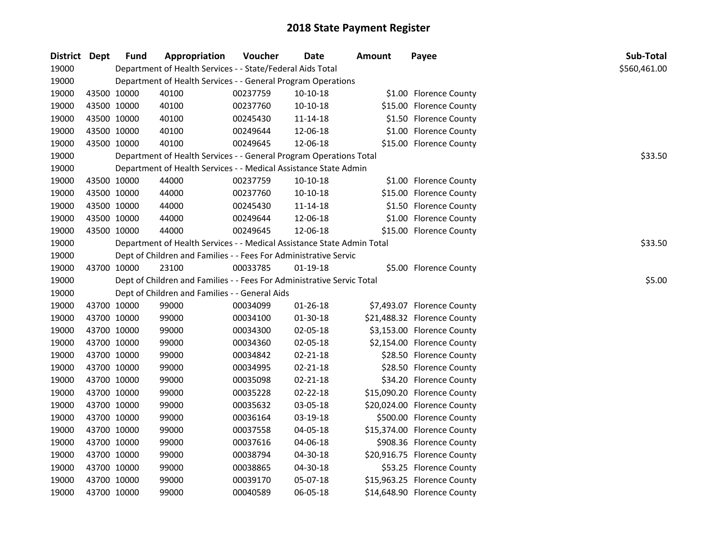| District Dept | <b>Fund</b> | Appropriation                                                          | Voucher  | <b>Date</b> | <b>Amount</b> | Payee                       | Sub-Total    |
|---------------|-------------|------------------------------------------------------------------------|----------|-------------|---------------|-----------------------------|--------------|
| 19000         |             | Department of Health Services - - State/Federal Aids Total             |          |             |               |                             | \$560,461.00 |
| 19000         |             | Department of Health Services - - General Program Operations           |          |             |               |                             |              |
| 19000         | 43500 10000 | 40100                                                                  | 00237759 | 10-10-18    |               | \$1.00 Florence County      |              |
| 19000         | 43500 10000 | 40100                                                                  | 00237760 | $10-10-18$  |               | \$15.00 Florence County     |              |
| 19000         | 43500 10000 | 40100                                                                  | 00245430 | 11-14-18    |               | \$1.50 Florence County      |              |
| 19000         | 43500 10000 | 40100                                                                  | 00249644 | 12-06-18    |               | \$1.00 Florence County      |              |
| 19000         | 43500 10000 | 40100                                                                  | 00249645 | 12-06-18    |               | \$15.00 Florence County     |              |
| 19000         |             | Department of Health Services - - General Program Operations Total     |          |             |               |                             | \$33.50      |
| 19000         |             | Department of Health Services - - Medical Assistance State Admin       |          |             |               |                             |              |
| 19000         | 43500 10000 | 44000                                                                  | 00237759 | 10-10-18    |               | \$1.00 Florence County      |              |
| 19000         | 43500 10000 | 44000                                                                  | 00237760 | 10-10-18    |               | \$15.00 Florence County     |              |
| 19000         | 43500 10000 | 44000                                                                  | 00245430 | 11-14-18    |               | \$1.50 Florence County      |              |
| 19000         | 43500 10000 | 44000                                                                  | 00249644 | 12-06-18    |               | \$1.00 Florence County      |              |
| 19000         | 43500 10000 | 44000                                                                  | 00249645 | 12-06-18    |               | \$15.00 Florence County     |              |
| 19000         |             | Department of Health Services - - Medical Assistance State Admin Total |          |             |               |                             | \$33.50      |
| 19000         |             | Dept of Children and Families - - Fees For Administrative Servic       |          |             |               |                             |              |
| 19000         | 43700 10000 | 23100                                                                  | 00033785 | 01-19-18    |               | \$5.00 Florence County      |              |
| 19000         |             | Dept of Children and Families - - Fees For Administrative Servic Total |          |             |               |                             | \$5.00       |
| 19000         |             | Dept of Children and Families - - General Aids                         |          |             |               |                             |              |
| 19000         | 43700 10000 | 99000                                                                  | 00034099 | 01-26-18    |               | \$7,493.07 Florence County  |              |
| 19000         | 43700 10000 | 99000                                                                  | 00034100 | 01-30-18    |               | \$21,488.32 Florence County |              |
| 19000         | 43700 10000 | 99000                                                                  | 00034300 | 02-05-18    |               | \$3,153.00 Florence County  |              |
| 19000         | 43700 10000 | 99000                                                                  | 00034360 | 02-05-18    |               | \$2,154.00 Florence County  |              |
| 19000         | 43700 10000 | 99000                                                                  | 00034842 | 02-21-18    |               | \$28.50 Florence County     |              |
| 19000         | 43700 10000 | 99000                                                                  | 00034995 | 02-21-18    |               | \$28.50 Florence County     |              |
| 19000         | 43700 10000 | 99000                                                                  | 00035098 | 02-21-18    |               | \$34.20 Florence County     |              |
| 19000         | 43700 10000 | 99000                                                                  | 00035228 | 02-22-18    |               | \$15,090.20 Florence County |              |
| 19000         | 43700 10000 | 99000                                                                  | 00035632 | 03-05-18    |               | \$20,024.00 Florence County |              |
| 19000         | 43700 10000 | 99000                                                                  | 00036164 | 03-19-18    |               | \$500.00 Florence County    |              |
| 19000         | 43700 10000 | 99000                                                                  | 00037558 | 04-05-18    |               | \$15,374.00 Florence County |              |
| 19000         | 43700 10000 | 99000                                                                  | 00037616 | 04-06-18    |               | \$908.36 Florence County    |              |
| 19000         | 43700 10000 | 99000                                                                  | 00038794 | 04-30-18    |               | \$20,916.75 Florence County |              |
| 19000         | 43700 10000 | 99000                                                                  | 00038865 | 04-30-18    |               | \$53.25 Florence County     |              |
| 19000         | 43700 10000 | 99000                                                                  | 00039170 | 05-07-18    |               | \$15,963.25 Florence County |              |
| 19000         | 43700 10000 | 99000                                                                  | 00040589 | 06-05-18    |               | \$14,648.90 Florence County |              |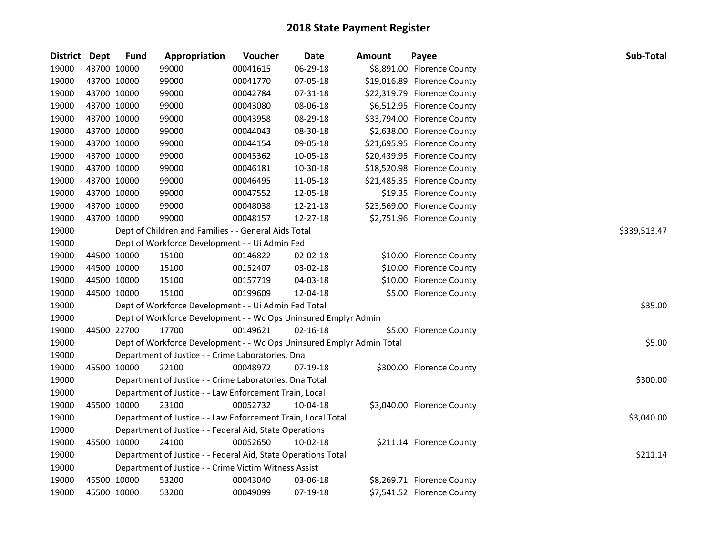| District Dept | <b>Fund</b> | Appropriation                                                         | Voucher  | <b>Date</b> | <b>Amount</b> | Payee                       | Sub-Total    |
|---------------|-------------|-----------------------------------------------------------------------|----------|-------------|---------------|-----------------------------|--------------|
| 19000         | 43700 10000 | 99000                                                                 | 00041615 | 06-29-18    |               | \$8,891.00 Florence County  |              |
| 19000         | 43700 10000 | 99000                                                                 | 00041770 | 07-05-18    |               | \$19,016.89 Florence County |              |
| 19000         | 43700 10000 | 99000                                                                 | 00042784 | 07-31-18    |               | \$22,319.79 Florence County |              |
| 19000         | 43700 10000 | 99000                                                                 | 00043080 | 08-06-18    |               | \$6,512.95 Florence County  |              |
| 19000         | 43700 10000 | 99000                                                                 | 00043958 | 08-29-18    |               | \$33,794.00 Florence County |              |
| 19000         | 43700 10000 | 99000                                                                 | 00044043 | 08-30-18    |               | \$2,638.00 Florence County  |              |
| 19000         | 43700 10000 | 99000                                                                 | 00044154 | 09-05-18    |               | \$21,695.95 Florence County |              |
| 19000         | 43700 10000 | 99000                                                                 | 00045362 | 10-05-18    |               | \$20,439.95 Florence County |              |
| 19000         | 43700 10000 | 99000                                                                 | 00046181 | 10-30-18    |               | \$18,520.98 Florence County |              |
| 19000         | 43700 10000 | 99000                                                                 | 00046495 | 11-05-18    |               | \$21,485.35 Florence County |              |
| 19000         | 43700 10000 | 99000                                                                 | 00047552 | 12-05-18    |               | \$19.35 Florence County     |              |
| 19000         | 43700 10000 | 99000                                                                 | 00048038 | 12-21-18    |               | \$23,569.00 Florence County |              |
| 19000         | 43700 10000 | 99000                                                                 | 00048157 | 12-27-18    |               | \$2,751.96 Florence County  |              |
| 19000         |             | Dept of Children and Families - - General Aids Total                  |          |             |               |                             | \$339,513.47 |
| 19000         |             | Dept of Workforce Development - - Ui Admin Fed                        |          |             |               |                             |              |
| 19000         | 44500 10000 | 15100                                                                 | 00146822 | 02-02-18    |               | \$10.00 Florence County     |              |
| 19000         | 44500 10000 | 15100                                                                 | 00152407 | 03-02-18    |               | \$10.00 Florence County     |              |
| 19000         | 44500 10000 | 15100                                                                 | 00157719 | 04-03-18    |               | \$10.00 Florence County     |              |
| 19000         | 44500 10000 | 15100                                                                 | 00199609 | 12-04-18    |               | \$5.00 Florence County      |              |
| 19000         |             | Dept of Workforce Development - - Ui Admin Fed Total                  |          |             |               |                             | \$35.00      |
| 19000         |             | Dept of Workforce Development - - Wc Ops Uninsured Emplyr Admin       |          |             |               |                             |              |
| 19000         | 44500 22700 | 17700                                                                 | 00149621 | 02-16-18    |               | \$5.00 Florence County      |              |
| 19000         |             | Dept of Workforce Development - - Wc Ops Uninsured Emplyr Admin Total |          |             |               |                             | \$5.00       |
| 19000         |             | Department of Justice - - Crime Laboratories, Dna                     |          |             |               |                             |              |
| 19000         | 45500 10000 | 22100                                                                 | 00048972 | 07-19-18    |               | \$300.00 Florence County    |              |
| 19000         |             | Department of Justice - - Crime Laboratories, Dna Total               |          |             |               |                             | \$300.00     |
| 19000         |             | Department of Justice - - Law Enforcement Train, Local                |          |             |               |                             |              |
| 19000         | 45500 10000 | 23100                                                                 | 00052732 | 10-04-18    |               | \$3,040.00 Florence County  |              |
| 19000         |             | Department of Justice - - Law Enforcement Train, Local Total          |          |             |               |                             | \$3,040.00   |
| 19000         |             | Department of Justice - - Federal Aid, State Operations               |          |             |               |                             |              |
| 19000         | 45500 10000 | 24100                                                                 | 00052650 | 10-02-18    |               | \$211.14 Florence County    |              |
| 19000         |             | Department of Justice - - Federal Aid, State Operations Total         |          |             |               |                             | \$211.14     |
| 19000         |             | Department of Justice - - Crime Victim Witness Assist                 |          |             |               |                             |              |
| 19000         | 45500 10000 | 53200                                                                 | 00043040 | 03-06-18    |               | \$8,269.71 Florence County  |              |
| 19000         | 45500 10000 | 53200                                                                 | 00049099 | 07-19-18    |               | \$7,541.52 Florence County  |              |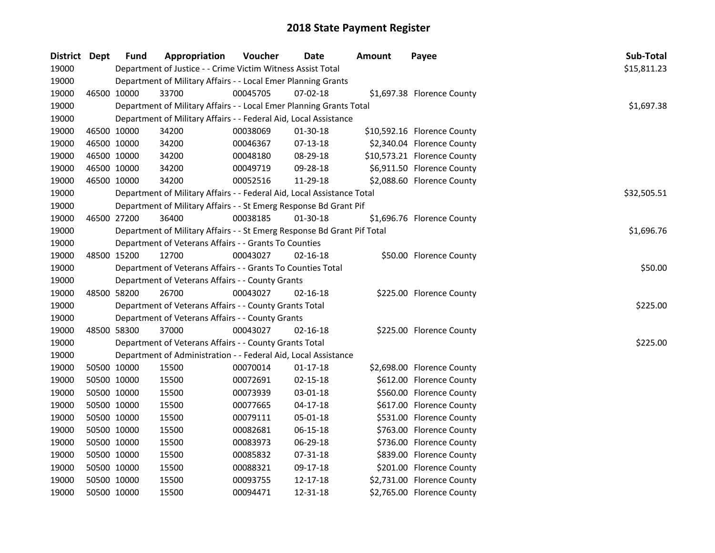| District Dept |             | <b>Fund</b> | Appropriation                                                           | Voucher  | Date           | <b>Amount</b> | Payee                       | Sub-Total   |
|---------------|-------------|-------------|-------------------------------------------------------------------------|----------|----------------|---------------|-----------------------------|-------------|
| 19000         |             |             | Department of Justice - - Crime Victim Witness Assist Total             |          |                |               |                             | \$15,811.23 |
| 19000         |             |             | Department of Military Affairs - - Local Emer Planning Grants           |          |                |               |                             |             |
| 19000         | 46500 10000 |             | 33700                                                                   | 00045705 | $07 - 02 - 18$ |               | \$1,697.38 Florence County  |             |
| 19000         |             |             | Department of Military Affairs - - Local Emer Planning Grants Total     |          |                |               |                             | \$1,697.38  |
| 19000         |             |             | Department of Military Affairs - - Federal Aid, Local Assistance        |          |                |               |                             |             |
| 19000         | 46500 10000 |             | 34200                                                                   | 00038069 | 01-30-18       |               | \$10,592.16 Florence County |             |
| 19000         | 46500 10000 |             | 34200                                                                   | 00046367 | 07-13-18       |               | \$2,340.04 Florence County  |             |
| 19000         | 46500 10000 |             | 34200                                                                   | 00048180 | 08-29-18       |               | \$10,573.21 Florence County |             |
| 19000         | 46500 10000 |             | 34200                                                                   | 00049719 | 09-28-18       |               | \$6,911.50 Florence County  |             |
| 19000         | 46500 10000 |             | 34200                                                                   | 00052516 | 11-29-18       |               | \$2,088.60 Florence County  |             |
| 19000         |             |             | Department of Military Affairs - - Federal Aid, Local Assistance Total  |          |                |               |                             | \$32,505.51 |
| 19000         |             |             | Department of Military Affairs - - St Emerg Response Bd Grant Pif       |          |                |               |                             |             |
| 19000         | 46500 27200 |             | 36400                                                                   | 00038185 | 01-30-18       |               | \$1,696.76 Florence County  |             |
| 19000         |             |             | Department of Military Affairs - - St Emerg Response Bd Grant Pif Total |          |                |               |                             | \$1,696.76  |
| 19000         |             |             | Department of Veterans Affairs - - Grants To Counties                   |          |                |               |                             |             |
| 19000         | 48500 15200 |             | 12700                                                                   | 00043027 | $02 - 16 - 18$ |               | \$50.00 Florence County     |             |
| 19000         |             |             | Department of Veterans Affairs - - Grants To Counties Total             |          |                |               |                             | \$50.00     |
| 19000         |             |             | Department of Veterans Affairs - - County Grants                        |          |                |               |                             |             |
| 19000         | 48500 58200 |             | 26700                                                                   | 00043027 | 02-16-18       |               | \$225.00 Florence County    |             |
| 19000         |             |             | Department of Veterans Affairs - - County Grants Total                  |          |                |               |                             | \$225.00    |
| 19000         |             |             | Department of Veterans Affairs - - County Grants                        |          |                |               |                             |             |
| 19000         | 48500 58300 |             | 37000                                                                   | 00043027 | 02-16-18       |               | \$225.00 Florence County    |             |
| 19000         |             |             | Department of Veterans Affairs - - County Grants Total                  |          |                |               |                             | \$225.00    |
| 19000         |             |             | Department of Administration - - Federal Aid, Local Assistance          |          |                |               |                             |             |
| 19000         | 50500 10000 |             | 15500                                                                   | 00070014 | $01-17-18$     |               | \$2,698.00 Florence County  |             |
| 19000         | 50500 10000 |             | 15500                                                                   | 00072691 | $02 - 15 - 18$ |               | \$612.00 Florence County    |             |
| 19000         | 50500 10000 |             | 15500                                                                   | 00073939 | 03-01-18       |               | \$560.00 Florence County    |             |
| 19000         | 50500 10000 |             | 15500                                                                   | 00077665 | $04 - 17 - 18$ |               | \$617.00 Florence County    |             |
| 19000         | 50500 10000 |             | 15500                                                                   | 00079111 | 05-01-18       |               | \$531.00 Florence County    |             |
| 19000         | 50500 10000 |             | 15500                                                                   | 00082681 | 06-15-18       |               | \$763.00 Florence County    |             |
| 19000         | 50500 10000 |             | 15500                                                                   | 00083973 | 06-29-18       |               | \$736.00 Florence County    |             |
| 19000         | 50500 10000 |             | 15500                                                                   | 00085832 | 07-31-18       |               | \$839.00 Florence County    |             |
| 19000         | 50500 10000 |             | 15500                                                                   | 00088321 | 09-17-18       |               | \$201.00 Florence County    |             |
| 19000         | 50500 10000 |             | 15500                                                                   | 00093755 | 12-17-18       |               | \$2,731.00 Florence County  |             |
| 19000         | 50500 10000 |             | 15500                                                                   | 00094471 | 12-31-18       |               | \$2,765.00 Florence County  |             |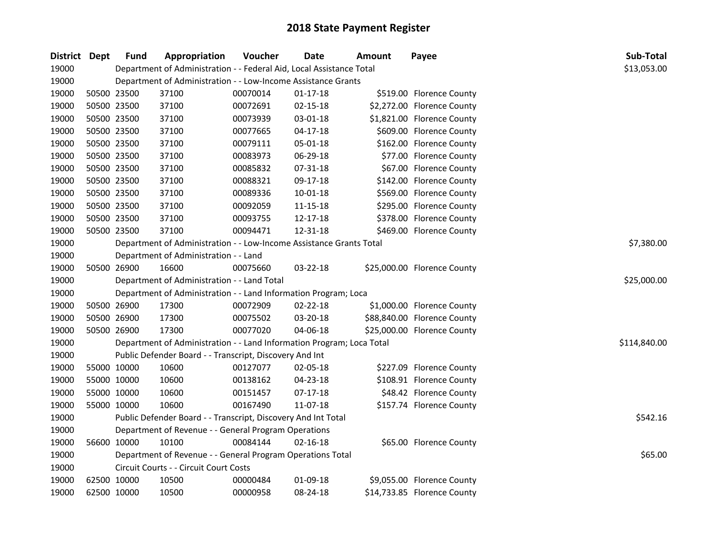| District Dept |             | <b>Fund</b> | Appropriation                                                         | Voucher  | <b>Date</b>    | <b>Amount</b> | Payee                       | Sub-Total    |
|---------------|-------------|-------------|-----------------------------------------------------------------------|----------|----------------|---------------|-----------------------------|--------------|
| 19000         |             |             | Department of Administration - - Federal Aid, Local Assistance Total  |          |                |               |                             | \$13,053.00  |
| 19000         |             |             | Department of Administration - - Low-Income Assistance Grants         |          |                |               |                             |              |
| 19000         | 50500 23500 |             | 37100                                                                 | 00070014 | $01 - 17 - 18$ |               | \$519.00 Florence County    |              |
| 19000         | 50500 23500 |             | 37100                                                                 | 00072691 | 02-15-18       |               | \$2,272.00 Florence County  |              |
| 19000         | 50500 23500 |             | 37100                                                                 | 00073939 | 03-01-18       |               | \$1,821.00 Florence County  |              |
| 19000         | 50500 23500 |             | 37100                                                                 | 00077665 | $04 - 17 - 18$ |               | \$609.00 Florence County    |              |
| 19000         | 50500 23500 |             | 37100                                                                 | 00079111 | 05-01-18       |               | \$162.00 Florence County    |              |
| 19000         | 50500 23500 |             | 37100                                                                 | 00083973 | 06-29-18       |               | \$77.00 Florence County     |              |
| 19000         | 50500 23500 |             | 37100                                                                 | 00085832 | 07-31-18       |               | \$67.00 Florence County     |              |
| 19000         | 50500 23500 |             | 37100                                                                 | 00088321 | 09-17-18       |               | \$142.00 Florence County    |              |
| 19000         | 50500 23500 |             | 37100                                                                 | 00089336 | 10-01-18       |               | \$569.00 Florence County    |              |
| 19000         | 50500 23500 |             | 37100                                                                 | 00092059 | 11-15-18       |               | \$295.00 Florence County    |              |
| 19000         | 50500 23500 |             | 37100                                                                 | 00093755 | 12-17-18       |               | \$378.00 Florence County    |              |
| 19000         | 50500 23500 |             | 37100                                                                 | 00094471 | 12-31-18       |               | \$469.00 Florence County    |              |
| 19000         |             |             | Department of Administration - - Low-Income Assistance Grants Total   |          |                |               |                             | \$7,380.00   |
| 19000         |             |             | Department of Administration - - Land                                 |          |                |               |                             |              |
| 19000         | 50500 26900 |             | 16600                                                                 | 00075660 | 03-22-18       |               | \$25,000.00 Florence County |              |
| 19000         |             |             | Department of Administration - - Land Total                           |          |                |               |                             | \$25,000.00  |
| 19000         |             |             | Department of Administration - - Land Information Program; Loca       |          |                |               |                             |              |
| 19000         | 50500 26900 |             | 17300                                                                 | 00072909 | 02-22-18       |               | \$1,000.00 Florence County  |              |
| 19000         | 50500 26900 |             | 17300                                                                 | 00075502 | 03-20-18       |               | \$88,840.00 Florence County |              |
| 19000         | 50500 26900 |             | 17300                                                                 | 00077020 | 04-06-18       |               | \$25,000.00 Florence County |              |
| 19000         |             |             | Department of Administration - - Land Information Program; Loca Total |          |                |               |                             | \$114,840.00 |
| 19000         |             |             | Public Defender Board - - Transcript, Discovery And Int               |          |                |               |                             |              |
| 19000         | 55000 10000 |             | 10600                                                                 | 00127077 | 02-05-18       |               | \$227.09 Florence County    |              |
| 19000         | 55000 10000 |             | 10600                                                                 | 00138162 | 04-23-18       |               | \$108.91 Florence County    |              |
| 19000         | 55000 10000 |             | 10600                                                                 | 00151457 | 07-17-18       |               | \$48.42 Florence County     |              |
| 19000         | 55000 10000 |             | 10600                                                                 | 00167490 | 11-07-18       |               | \$157.74 Florence County    |              |
| 19000         |             |             | Public Defender Board - - Transcript, Discovery And Int Total         |          |                |               |                             | \$542.16     |
| 19000         |             |             | Department of Revenue - - General Program Operations                  |          |                |               |                             |              |
| 19000         | 56600 10000 |             | 10100                                                                 | 00084144 | $02 - 16 - 18$ |               | \$65.00 Florence County     |              |
| 19000         |             |             | Department of Revenue - - General Program Operations Total            |          |                |               |                             | \$65.00      |
| 19000         |             |             | Circuit Courts - - Circuit Court Costs                                |          |                |               |                             |              |
| 19000         | 62500 10000 |             | 10500                                                                 | 00000484 | 01-09-18       |               | \$9,055.00 Florence County  |              |
| 19000         | 62500 10000 |             | 10500                                                                 | 00000958 | 08-24-18       |               | \$14,733.85 Florence County |              |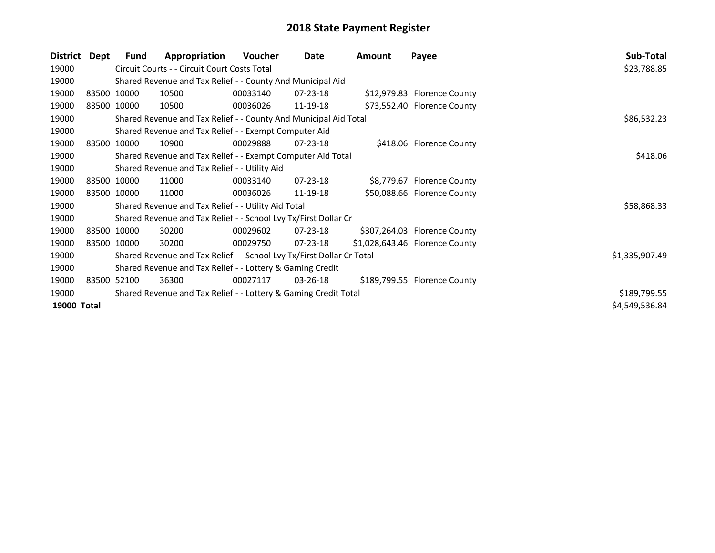| District Dept |             | Fund        | Appropriation                                                         | Voucher  | Date           | <b>Amount</b> | Payee                          | Sub-Total      |
|---------------|-------------|-------------|-----------------------------------------------------------------------|----------|----------------|---------------|--------------------------------|----------------|
| 19000         |             |             | Circuit Courts - - Circuit Court Costs Total                          |          |                |               |                                | \$23,788.85    |
| 19000         |             |             | Shared Revenue and Tax Relief - - County And Municipal Aid            |          |                |               |                                |                |
| 19000         | 83500 10000 |             | 10500                                                                 | 00033140 | 07-23-18       |               | \$12,979.83 Florence County    |                |
| 19000         | 83500 10000 |             | 10500                                                                 | 00036026 | 11-19-18       |               | \$73,552.40 Florence County    |                |
| 19000         |             |             | Shared Revenue and Tax Relief - - County And Municipal Aid Total      |          |                |               |                                | \$86,532.23    |
| 19000         |             |             | Shared Revenue and Tax Relief - - Exempt Computer Aid                 |          |                |               |                                |                |
| 19000         | 83500 10000 |             | 10900                                                                 | 00029888 | $07 - 23 - 18$ |               | \$418.06 Florence County       |                |
| 19000         |             |             | Shared Revenue and Tax Relief - - Exempt Computer Aid Total           | \$418.06 |                |               |                                |                |
| 19000         |             |             | Shared Revenue and Tax Relief - - Utility Aid                         |          |                |               |                                |                |
| 19000         |             | 83500 10000 | 11000                                                                 | 00033140 | 07-23-18       |               | \$8,779.67 Florence County     |                |
| 19000         | 83500 10000 |             | 11000                                                                 | 00036026 | 11-19-18       |               | \$50,088.66 Florence County    |                |
| 19000         |             |             | Shared Revenue and Tax Relief - - Utility Aid Total                   |          |                |               |                                | \$58,868.33    |
| 19000         |             |             | Shared Revenue and Tax Relief - - School Lvy Tx/First Dollar Cr       |          |                |               |                                |                |
| 19000         | 83500 10000 |             | 30200                                                                 | 00029602 | 07-23-18       |               | \$307,264.03 Florence County   |                |
| 19000         | 83500 10000 |             | 30200                                                                 | 00029750 | 07-23-18       |               | \$1,028,643.46 Florence County |                |
| 19000         |             |             | Shared Revenue and Tax Relief - - School Lvy Tx/First Dollar Cr Total |          |                |               |                                | \$1,335,907.49 |
| 19000         |             |             | Shared Revenue and Tax Relief - - Lottery & Gaming Credit             |          |                |               |                                |                |
| 19000         | 83500 52100 |             | 36300                                                                 | 00027117 | 03-26-18       |               | \$189,799.55 Florence County   |                |
| 19000         |             |             | Shared Revenue and Tax Relief - - Lottery & Gaming Credit Total       |          |                |               |                                | \$189,799.55   |
| 19000 Total   |             |             |                                                                       |          |                |               |                                | \$4,549,536.84 |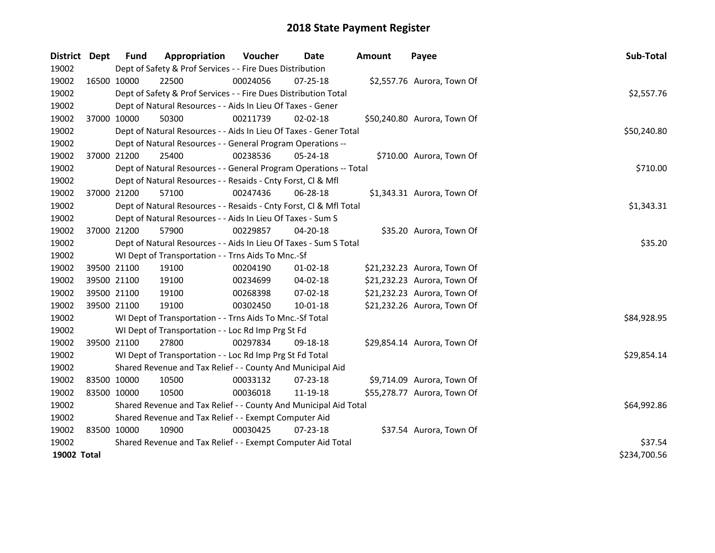| District    | Dept | <b>Fund</b>                                           | Appropriation                                                      | Voucher     | Date           | <b>Amount</b> | Payee                       | Sub-Total    |  |
|-------------|------|-------------------------------------------------------|--------------------------------------------------------------------|-------------|----------------|---------------|-----------------------------|--------------|--|
| 19002       |      |                                                       | Dept of Safety & Prof Services - - Fire Dues Distribution          |             |                |               |                             |              |  |
| 19002       |      | 16500 10000                                           | 22500                                                              | 00024056    | 07-25-18       |               | \$2,557.76 Aurora, Town Of  |              |  |
| 19002       |      |                                                       | Dept of Safety & Prof Services - - Fire Dues Distribution Total    |             |                |               |                             | \$2,557.76   |  |
| 19002       |      |                                                       | Dept of Natural Resources - - Aids In Lieu Of Taxes - Gener        |             |                |               |                             |              |  |
| 19002       |      | 37000 10000                                           | 50300                                                              | 00211739    | $02 - 02 - 18$ |               | \$50,240.80 Aurora, Town Of |              |  |
| 19002       |      |                                                       | Dept of Natural Resources - - Aids In Lieu Of Taxes - Gener Total  | \$50,240.80 |                |               |                             |              |  |
| 19002       |      |                                                       | Dept of Natural Resources - - General Program Operations --        |             |                |               |                             |              |  |
| 19002       |      | 37000 21200                                           | 25400                                                              | 00238536    | 05-24-18       |               | \$710.00 Aurora, Town Of    |              |  |
| 19002       |      |                                                       | Dept of Natural Resources - - General Program Operations -- Total  |             |                |               |                             | \$710.00     |  |
| 19002       |      |                                                       | Dept of Natural Resources - - Resaids - Cnty Forst, Cl & Mfl       |             |                |               |                             |              |  |
| 19002       |      | 37000 21200                                           | 57100                                                              | 00247436    | 06-28-18       |               | \$1,343.31 Aurora, Town Of  |              |  |
| 19002       |      |                                                       | Dept of Natural Resources - - Resaids - Cnty Forst, Cl & Mfl Total |             |                |               |                             | \$1,343.31   |  |
| 19002       |      |                                                       | Dept of Natural Resources - - Aids In Lieu Of Taxes - Sum S        |             |                |               |                             |              |  |
| 19002       |      | 37000 21200                                           | 57900                                                              | 00229857    | 04-20-18       |               | \$35.20 Aurora, Town Of     |              |  |
| 19002       |      |                                                       | Dept of Natural Resources - - Aids In Lieu Of Taxes - Sum S Total  |             |                |               |                             | \$35.20      |  |
| 19002       |      |                                                       | WI Dept of Transportation - - Trns Aids To Mnc.-Sf                 |             |                |               |                             |              |  |
| 19002       |      | 39500 21100                                           | 19100                                                              | 00204190    | $01 - 02 - 18$ |               | \$21,232.23 Aurora, Town Of |              |  |
| 19002       |      | 39500 21100                                           | 19100                                                              | 00234699    | 04-02-18       |               | \$21,232.23 Aurora, Town Of |              |  |
| 19002       |      | 39500 21100                                           | 19100                                                              | 00268398    | 07-02-18       |               | \$21,232.23 Aurora, Town Of |              |  |
| 19002       |      | 39500 21100                                           | 19100                                                              | 00302450    | 10-01-18       |               | \$21,232.26 Aurora, Town Of |              |  |
| 19002       |      |                                                       | WI Dept of Transportation - - Trns Aids To Mnc.-Sf Total           |             |                |               |                             | \$84,928.95  |  |
| 19002       |      |                                                       | WI Dept of Transportation - - Loc Rd Imp Prg St Fd                 |             |                |               |                             |              |  |
| 19002       |      | 39500 21100                                           | 27800                                                              | 00297834    | 09-18-18       |               | \$29,854.14 Aurora, Town Of |              |  |
| 19002       |      |                                                       | WI Dept of Transportation - - Loc Rd Imp Prg St Fd Total           |             |                |               |                             | \$29,854.14  |  |
| 19002       |      |                                                       | Shared Revenue and Tax Relief - - County And Municipal Aid         |             |                |               |                             |              |  |
| 19002       |      | 83500 10000                                           | 10500                                                              | 00033132    | 07-23-18       |               | \$9,714.09 Aurora, Town Of  |              |  |
| 19002       |      | 83500 10000                                           | 10500                                                              | 00036018    | 11-19-18       |               | \$55,278.77 Aurora, Town Of |              |  |
| 19002       |      |                                                       | Shared Revenue and Tax Relief - - County And Municipal Aid Total   |             |                |               |                             | \$64,992.86  |  |
| 19002       |      | Shared Revenue and Tax Relief - - Exempt Computer Aid |                                                                    |             |                |               |                             |              |  |
| 19002       |      | 83500 10000                                           | 10900                                                              | 00030425    | 07-23-18       |               | \$37.54 Aurora, Town Of     |              |  |
| 19002       |      |                                                       | Shared Revenue and Tax Relief - - Exempt Computer Aid Total        |             |                |               |                             | \$37.54      |  |
| 19002 Total |      |                                                       |                                                                    |             |                |               |                             | \$234,700.56 |  |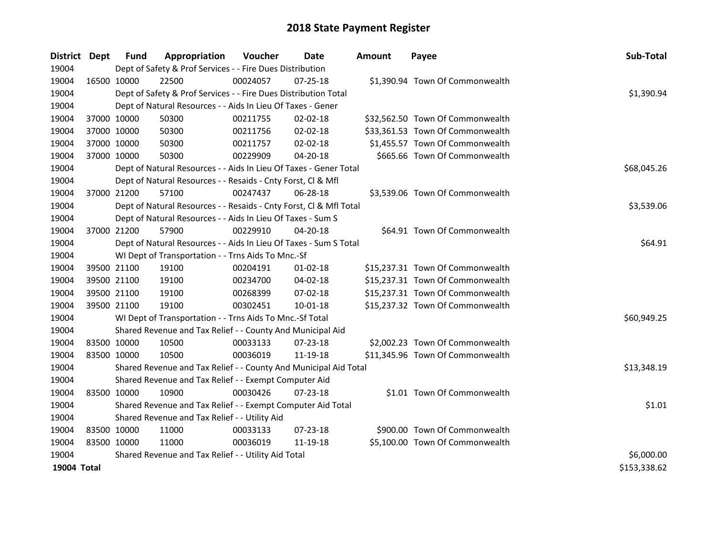| District Dept |             | <b>Fund</b>                                   | Appropriation                                                      | Voucher  | <b>Date</b>    | <b>Amount</b> | Payee                            | Sub-Total    |
|---------------|-------------|-----------------------------------------------|--------------------------------------------------------------------|----------|----------------|---------------|----------------------------------|--------------|
| 19004         |             |                                               | Dept of Safety & Prof Services - - Fire Dues Distribution          |          |                |               |                                  |              |
| 19004         | 16500 10000 |                                               | 22500                                                              | 00024057 | $07 - 25 - 18$ |               | \$1,390.94 Town Of Commonwealth  |              |
| 19004         |             |                                               | Dept of Safety & Prof Services - - Fire Dues Distribution Total    |          |                |               |                                  | \$1,390.94   |
| 19004         |             |                                               | Dept of Natural Resources - - Aids In Lieu Of Taxes - Gener        |          |                |               |                                  |              |
| 19004         |             | 37000 10000                                   | 50300                                                              | 00211755 | 02-02-18       |               | \$32,562.50 Town Of Commonwealth |              |
| 19004         |             | 37000 10000                                   | 50300                                                              | 00211756 | 02-02-18       |               | \$33,361.53 Town Of Commonwealth |              |
| 19004         |             | 37000 10000                                   | 50300                                                              | 00211757 | 02-02-18       |               | \$1,455.57 Town Of Commonwealth  |              |
| 19004         | 37000 10000 |                                               | 50300                                                              | 00229909 | 04-20-18       |               | \$665.66 Town Of Commonwealth    |              |
| 19004         |             |                                               | Dept of Natural Resources - - Aids In Lieu Of Taxes - Gener Total  |          |                |               |                                  | \$68,045.26  |
| 19004         |             |                                               | Dept of Natural Resources - - Resaids - Cnty Forst, Cl & Mfl       |          |                |               |                                  |              |
| 19004         |             | 37000 21200                                   | 57100                                                              | 00247437 | $06 - 28 - 18$ |               | \$3,539.06 Town Of Commonwealth  |              |
| 19004         |             |                                               | Dept of Natural Resources - - Resaids - Cnty Forst, Cl & Mfl Total |          |                |               |                                  | \$3,539.06   |
| 19004         |             |                                               | Dept of Natural Resources - - Aids In Lieu Of Taxes - Sum S        |          |                |               |                                  |              |
| 19004         |             | 37000 21200                                   | 57900                                                              | 00229910 | 04-20-18       |               | \$64.91 Town Of Commonwealth     |              |
| 19004         |             |                                               | Dept of Natural Resources - - Aids In Lieu Of Taxes - Sum S Total  | \$64.91  |                |               |                                  |              |
| 19004         |             |                                               | WI Dept of Transportation - - Trns Aids To Mnc.-Sf                 |          |                |               |                                  |              |
| 19004         |             | 39500 21100                                   | 19100                                                              | 00204191 | $01 - 02 - 18$ |               | \$15,237.31 Town Of Commonwealth |              |
| 19004         |             | 39500 21100                                   | 19100                                                              | 00234700 | 04-02-18       |               | \$15,237.31 Town Of Commonwealth |              |
| 19004         |             | 39500 21100                                   | 19100                                                              | 00268399 | 07-02-18       |               | \$15,237.31 Town Of Commonwealth |              |
| 19004         |             | 39500 21100                                   | 19100                                                              | 00302451 | 10-01-18       |               | \$15,237.32 Town Of Commonwealth |              |
| 19004         |             |                                               | WI Dept of Transportation - - Trns Aids To Mnc.-Sf Total           |          |                |               |                                  | \$60,949.25  |
| 19004         |             |                                               | Shared Revenue and Tax Relief - - County And Municipal Aid         |          |                |               |                                  |              |
| 19004         |             | 83500 10000                                   | 10500                                                              | 00033133 | $07 - 23 - 18$ |               | \$2,002.23 Town Of Commonwealth  |              |
| 19004         | 83500 10000 |                                               | 10500                                                              | 00036019 | 11-19-18       |               | \$11,345.96 Town Of Commonwealth |              |
| 19004         |             |                                               | Shared Revenue and Tax Relief - - County And Municipal Aid Total   |          |                |               |                                  | \$13,348.19  |
| 19004         |             |                                               | Shared Revenue and Tax Relief - - Exempt Computer Aid              |          |                |               |                                  |              |
| 19004         | 83500 10000 |                                               | 10900                                                              | 00030426 | 07-23-18       |               | \$1.01 Town Of Commonwealth      |              |
| 19004         |             |                                               | Shared Revenue and Tax Relief - - Exempt Computer Aid Total        |          |                |               |                                  | \$1.01       |
| 19004         |             | Shared Revenue and Tax Relief - - Utility Aid |                                                                    |          |                |               |                                  |              |
| 19004         | 83500 10000 |                                               | 11000                                                              | 00033133 | $07 - 23 - 18$ |               | \$900.00 Town Of Commonwealth    |              |
| 19004         | 83500 10000 |                                               | 11000                                                              | 00036019 | 11-19-18       |               | \$5,100.00 Town Of Commonwealth  |              |
| 19004         |             |                                               | Shared Revenue and Tax Relief - - Utility Aid Total                |          |                |               |                                  | \$6,000.00   |
| 19004 Total   |             |                                               |                                                                    |          |                |               |                                  | \$153,338.62 |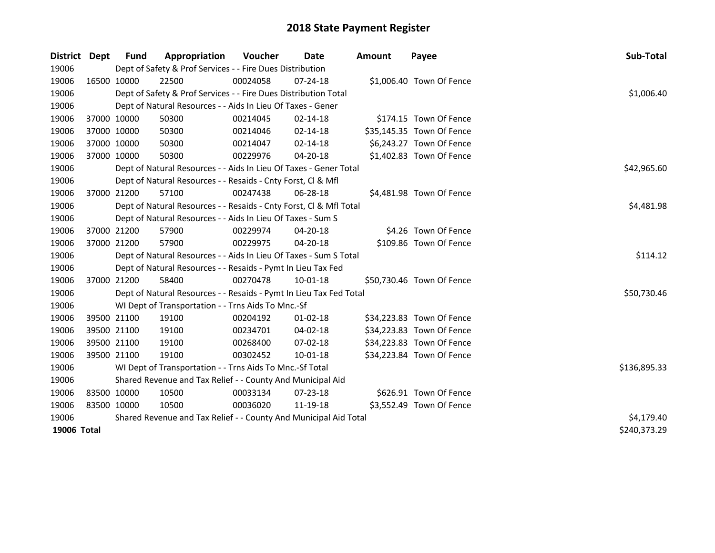| <b>District</b> | <b>Dept</b> | <b>Fund</b> | Appropriation                                                      | <b>Voucher</b> | Date           | <b>Amount</b> | Payee                     | Sub-Total    |
|-----------------|-------------|-------------|--------------------------------------------------------------------|----------------|----------------|---------------|---------------------------|--------------|
| 19006           |             |             | Dept of Safety & Prof Services - - Fire Dues Distribution          |                |                |               |                           |              |
| 19006           |             | 16500 10000 | 22500                                                              | 00024058       | $07 - 24 - 18$ |               | \$1,006.40 Town Of Fence  |              |
| 19006           |             |             | Dept of Safety & Prof Services - - Fire Dues Distribution Total    |                |                |               |                           | \$1,006.40   |
| 19006           |             |             | Dept of Natural Resources - - Aids In Lieu Of Taxes - Gener        |                |                |               |                           |              |
| 19006           |             | 37000 10000 | 50300                                                              | 00214045       | 02-14-18       |               | \$174.15 Town Of Fence    |              |
| 19006           | 37000 10000 |             | 50300                                                              | 00214046       | 02-14-18       |               | \$35,145.35 Town Of Fence |              |
| 19006           |             | 37000 10000 | 50300                                                              | 00214047       | $02 - 14 - 18$ |               | \$6,243.27 Town Of Fence  |              |
| 19006           |             | 37000 10000 | 50300                                                              | 00229976       | 04-20-18       |               | \$1,402.83 Town Of Fence  |              |
| 19006           |             |             | Dept of Natural Resources - - Aids In Lieu Of Taxes - Gener Total  |                |                |               |                           | \$42,965.60  |
| 19006           |             |             | Dept of Natural Resources - - Resaids - Cnty Forst, Cl & Mfl       |                |                |               |                           |              |
| 19006           |             | 37000 21200 | 57100                                                              | 00247438       | 06-28-18       |               | \$4,481.98 Town Of Fence  |              |
| 19006           |             |             | Dept of Natural Resources - - Resaids - Cnty Forst, Cl & Mfl Total |                |                |               |                           | \$4,481.98   |
| 19006           |             |             | Dept of Natural Resources - - Aids In Lieu Of Taxes - Sum S        |                |                |               |                           |              |
| 19006           |             | 37000 21200 | 57900                                                              | 00229974       | 04-20-18       |               | \$4.26 Town Of Fence      |              |
| 19006           |             | 37000 21200 | 57900                                                              | 00229975       | 04-20-18       |               | \$109.86 Town Of Fence    |              |
| 19006           |             |             | Dept of Natural Resources - - Aids In Lieu Of Taxes - Sum S Total  |                |                |               |                           | \$114.12     |
| 19006           |             |             | Dept of Natural Resources - - Resaids - Pymt In Lieu Tax Fed       |                |                |               |                           |              |
| 19006           |             | 37000 21200 | 58400                                                              | 00270478       | 10-01-18       |               | \$50,730.46 Town Of Fence |              |
| 19006           |             |             | Dept of Natural Resources - - Resaids - Pymt In Lieu Tax Fed Total |                |                |               |                           | \$50,730.46  |
| 19006           |             |             | WI Dept of Transportation - - Trns Aids To Mnc.-Sf                 |                |                |               |                           |              |
| 19006           |             | 39500 21100 | 19100                                                              | 00204192       | 01-02-18       |               | \$34,223.83 Town Of Fence |              |
| 19006           |             | 39500 21100 | 19100                                                              | 00234701       | 04-02-18       |               | \$34,223.83 Town Of Fence |              |
| 19006           |             | 39500 21100 | 19100                                                              | 00268400       | 07-02-18       |               | \$34,223.83 Town Of Fence |              |
| 19006           |             | 39500 21100 | 19100                                                              | 00302452       | $10 - 01 - 18$ |               | \$34,223.84 Town Of Fence |              |
| 19006           |             |             | WI Dept of Transportation - - Trns Aids To Mnc.-Sf Total           |                |                |               |                           | \$136,895.33 |
| 19006           |             |             | Shared Revenue and Tax Relief - - County And Municipal Aid         |                |                |               |                           |              |
| 19006           |             | 83500 10000 | 10500                                                              | 00033134       | 07-23-18       |               | \$626.91 Town Of Fence    |              |
| 19006           | 83500 10000 |             | 10500                                                              | 00036020       | 11-19-18       |               | \$3,552.49 Town Of Fence  |              |
| 19006           |             |             | Shared Revenue and Tax Relief - - County And Municipal Aid Total   |                |                |               |                           | \$4,179.40   |
| 19006 Total     |             |             |                                                                    |                |                |               |                           | \$240,373.29 |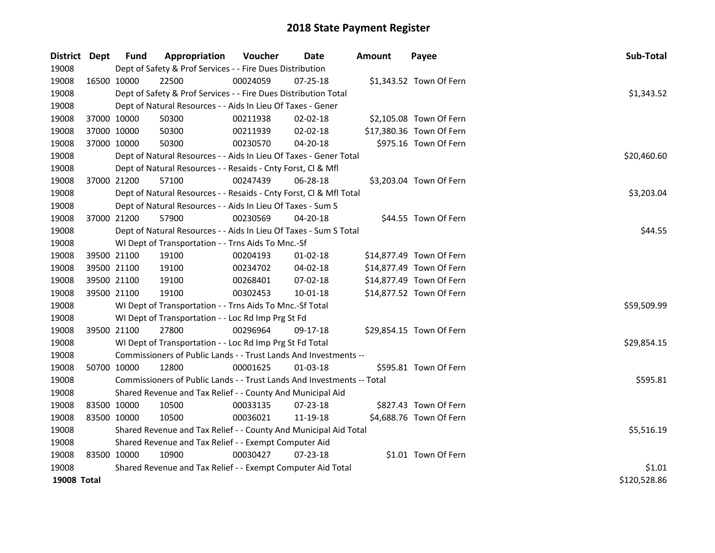| District Dept      | <b>Fund</b> | Appropriation                                                          | Voucher     | Date           | <b>Amount</b> | Payee                    | Sub-Total    |
|--------------------|-------------|------------------------------------------------------------------------|-------------|----------------|---------------|--------------------------|--------------|
| 19008              |             | Dept of Safety & Prof Services - - Fire Dues Distribution              |             |                |               |                          |              |
| 19008              | 16500 10000 | 22500                                                                  | 00024059    | $07 - 25 - 18$ |               | \$1,343.52 Town Of Fern  |              |
| 19008              |             | Dept of Safety & Prof Services - - Fire Dues Distribution Total        |             |                |               |                          | \$1,343.52   |
| 19008              |             | Dept of Natural Resources - - Aids In Lieu Of Taxes - Gener            |             |                |               |                          |              |
| 19008              | 37000 10000 | 50300                                                                  | 00211938    | 02-02-18       |               | \$2,105.08 Town Of Fern  |              |
| 19008              | 37000 10000 | 50300                                                                  | 00211939    | 02-02-18       |               | \$17,380.36 Town Of Fern |              |
| 19008              | 37000 10000 | 50300                                                                  | 00230570    | 04-20-18       |               | \$975.16 Town Of Fern    |              |
| 19008              |             | Dept of Natural Resources - - Aids In Lieu Of Taxes - Gener Total      | \$20,460.60 |                |               |                          |              |
| 19008              |             | Dept of Natural Resources - - Resaids - Cnty Forst, Cl & Mfl           |             |                |               |                          |              |
| 19008              | 37000 21200 | 57100                                                                  | 00247439    | 06-28-18       |               | \$3,203.04 Town Of Fern  |              |
| 19008              |             | Dept of Natural Resources - - Resaids - Cnty Forst, Cl & Mfl Total     |             |                |               |                          | \$3,203.04   |
| 19008              |             | Dept of Natural Resources - - Aids In Lieu Of Taxes - Sum S            |             |                |               |                          |              |
| 19008              | 37000 21200 | 57900                                                                  | 00230569    | 04-20-18       |               | \$44.55 Town Of Fern     |              |
| 19008              |             | Dept of Natural Resources - - Aids In Lieu Of Taxes - Sum S Total      |             |                |               |                          | \$44.55      |
| 19008              |             | WI Dept of Transportation - - Trns Aids To Mnc.-Sf                     |             |                |               |                          |              |
| 19008              | 39500 21100 | 19100                                                                  | 00204193    | $01 - 02 - 18$ |               | \$14,877.49 Town Of Fern |              |
| 19008              | 39500 21100 | 19100                                                                  | 00234702    | 04-02-18       |               | \$14,877.49 Town Of Fern |              |
| 19008              | 39500 21100 | 19100                                                                  | 00268401    | 07-02-18       |               | \$14,877.49 Town Of Fern |              |
| 19008              | 39500 21100 | 19100                                                                  | 00302453    | 10-01-18       |               | \$14,877.52 Town Of Fern |              |
| 19008              |             | WI Dept of Transportation - - Trns Aids To Mnc.-Sf Total               |             |                |               |                          | \$59,509.99  |
| 19008              |             | WI Dept of Transportation - - Loc Rd Imp Prg St Fd                     |             |                |               |                          |              |
| 19008              | 39500 21100 | 27800                                                                  | 00296964    | 09-17-18       |               | \$29,854.15 Town Of Fern |              |
| 19008              |             | WI Dept of Transportation - - Loc Rd Imp Prg St Fd Total               |             |                |               |                          | \$29,854.15  |
| 19008              |             | Commissioners of Public Lands - - Trust Lands And Investments --       |             |                |               |                          |              |
| 19008              | 50700 10000 | 12800                                                                  | 00001625    | $01-03-18$     |               | \$595.81 Town Of Fern    |              |
| 19008              |             | Commissioners of Public Lands - - Trust Lands And Investments -- Total |             |                |               |                          | \$595.81     |
| 19008              |             | Shared Revenue and Tax Relief - - County And Municipal Aid             |             |                |               |                          |              |
| 19008              | 83500 10000 | 10500                                                                  | 00033135    | $07 - 23 - 18$ |               | \$827.43 Town Of Fern    |              |
| 19008              | 83500 10000 | 10500                                                                  | 00036021    | 11-19-18       |               | \$4,688.76 Town Of Fern  |              |
| 19008              |             | Shared Revenue and Tax Relief - - County And Municipal Aid Total       |             |                |               |                          | \$5,516.19   |
| 19008              |             | Shared Revenue and Tax Relief - - Exempt Computer Aid                  |             |                |               |                          |              |
| 19008              | 83500 10000 | 10900                                                                  | 00030427    | $07 - 23 - 18$ |               | \$1.01 Town Of Fern      |              |
| 19008              |             | Shared Revenue and Tax Relief - - Exempt Computer Aid Total            |             |                |               |                          | \$1.01       |
| <b>19008 Total</b> |             |                                                                        |             |                |               |                          | \$120,528.86 |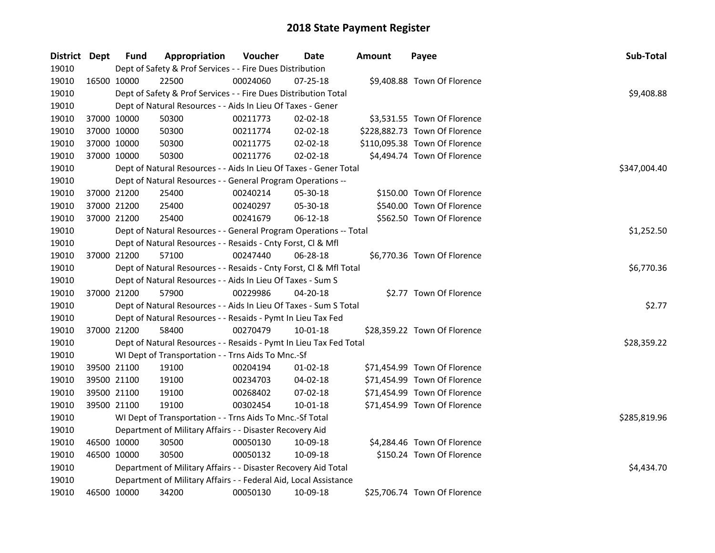| District Dept | <b>Fund</b> | Appropriation                                                      | Voucher  | Date           | Amount | Payee                         | Sub-Total    |
|---------------|-------------|--------------------------------------------------------------------|----------|----------------|--------|-------------------------------|--------------|
| 19010         |             | Dept of Safety & Prof Services - - Fire Dues Distribution          |          |                |        |                               |              |
| 19010         | 16500 10000 | 22500                                                              | 00024060 | 07-25-18       |        | \$9,408.88 Town Of Florence   |              |
| 19010         |             | Dept of Safety & Prof Services - - Fire Dues Distribution Total    |          |                |        |                               | \$9,408.88   |
| 19010         |             | Dept of Natural Resources - - Aids In Lieu Of Taxes - Gener        |          |                |        |                               |              |
| 19010         | 37000 10000 | 50300                                                              | 00211773 | 02-02-18       |        | \$3,531.55 Town Of Florence   |              |
| 19010         | 37000 10000 | 50300                                                              | 00211774 | 02-02-18       |        | \$228,882.73 Town Of Florence |              |
| 19010         | 37000 10000 | 50300                                                              | 00211775 | 02-02-18       |        | \$110,095.38 Town Of Florence |              |
| 19010         | 37000 10000 | 50300                                                              | 00211776 | 02-02-18       |        | \$4,494.74 Town Of Florence   |              |
| 19010         |             | Dept of Natural Resources - - Aids In Lieu Of Taxes - Gener Total  |          |                |        |                               | \$347,004.40 |
| 19010         |             | Dept of Natural Resources - - General Program Operations --        |          |                |        |                               |              |
| 19010         | 37000 21200 | 25400                                                              | 00240214 | 05-30-18       |        | \$150.00 Town Of Florence     |              |
| 19010         | 37000 21200 | 25400                                                              | 00240297 | 05-30-18       |        | \$540.00 Town Of Florence     |              |
| 19010         | 37000 21200 | 25400                                                              | 00241679 | 06-12-18       |        | \$562.50 Town Of Florence     |              |
| 19010         |             | Dept of Natural Resources - - General Program Operations -- Total  |          |                |        |                               | \$1,252.50   |
| 19010         |             | Dept of Natural Resources - - Resaids - Cnty Forst, Cl & Mfl       |          |                |        |                               |              |
| 19010         | 37000 21200 | 57100                                                              | 00247440 | 06-28-18       |        | \$6,770.36 Town Of Florence   |              |
| 19010         |             | Dept of Natural Resources - - Resaids - Cnty Forst, Cl & Mfl Total |          |                |        |                               | \$6,770.36   |
| 19010         |             | Dept of Natural Resources - - Aids In Lieu Of Taxes - Sum S        |          |                |        |                               |              |
| 19010         | 37000 21200 | 57900                                                              | 00229986 | 04-20-18       |        | \$2.77 Town Of Florence       |              |
| 19010         |             | Dept of Natural Resources - - Aids In Lieu Of Taxes - Sum S Total  |          |                |        |                               | \$2.77       |
| 19010         |             | Dept of Natural Resources - - Resaids - Pymt In Lieu Tax Fed       |          |                |        |                               |              |
| 19010         | 37000 21200 | 58400                                                              | 00270479 | $10 - 01 - 18$ |        | \$28,359.22 Town Of Florence  |              |
| 19010         |             | Dept of Natural Resources - - Resaids - Pymt In Lieu Tax Fed Total |          |                |        |                               | \$28,359.22  |
| 19010         |             | WI Dept of Transportation - - Trns Aids To Mnc.-Sf                 |          |                |        |                               |              |
| 19010         | 39500 21100 | 19100                                                              | 00204194 | 01-02-18       |        | \$71,454.99 Town Of Florence  |              |
| 19010         | 39500 21100 | 19100                                                              | 00234703 | 04-02-18       |        | \$71,454.99 Town Of Florence  |              |
| 19010         | 39500 21100 | 19100                                                              | 00268402 | 07-02-18       |        | \$71,454.99 Town Of Florence  |              |
| 19010         | 39500 21100 | 19100                                                              | 00302454 | $10 - 01 - 18$ |        | \$71,454.99 Town Of Florence  |              |
| 19010         |             | WI Dept of Transportation - - Trns Aids To Mnc.-Sf Total           |          |                |        |                               | \$285,819.96 |
| 19010         |             | Department of Military Affairs - - Disaster Recovery Aid           |          |                |        |                               |              |
| 19010         | 46500 10000 | 30500                                                              | 00050130 | 10-09-18       |        | \$4,284.46 Town Of Florence   |              |
| 19010         | 46500 10000 | 30500                                                              | 00050132 | 10-09-18       |        | \$150.24 Town Of Florence     |              |
| 19010         |             | Department of Military Affairs - - Disaster Recovery Aid Total     |          |                |        |                               | \$4,434.70   |
| 19010         |             | Department of Military Affairs - - Federal Aid, Local Assistance   |          |                |        |                               |              |
| 19010         | 46500 10000 | 34200                                                              | 00050130 | 10-09-18       |        | \$25,706.74 Town Of Florence  |              |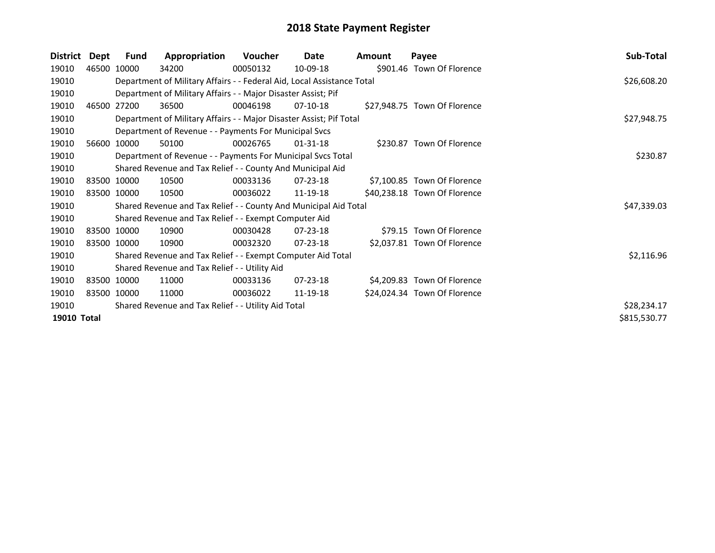| <b>District</b> | Dept        | <b>Fund</b> | Appropriation                                                          | <b>Voucher</b> | Date           | <b>Amount</b> | Payee                        | Sub-Total    |
|-----------------|-------------|-------------|------------------------------------------------------------------------|----------------|----------------|---------------|------------------------------|--------------|
| 19010           |             | 46500 10000 | 34200                                                                  | 00050132       | 10-09-18       |               | \$901.46 Town Of Florence    |              |
| 19010           |             |             | Department of Military Affairs - - Federal Aid, Local Assistance Total |                |                |               |                              | \$26,608.20  |
| 19010           |             |             | Department of Military Affairs - - Major Disaster Assist; Pif          |                |                |               |                              |              |
| 19010           |             | 46500 27200 | 36500                                                                  | 00046198       | $07-10-18$     |               | \$27,948.75 Town Of Florence |              |
| 19010           |             |             | Department of Military Affairs - - Major Disaster Assist; Pif Total    |                |                |               |                              | \$27,948.75  |
| 19010           |             |             | Department of Revenue - - Payments For Municipal Svcs                  |                |                |               |                              |              |
| 19010           |             | 56600 10000 | 50100                                                                  | 00026765       | $01 - 31 - 18$ |               | \$230.87 Town Of Florence    |              |
| 19010           |             |             | Department of Revenue - - Payments For Municipal Svcs Total            |                |                |               |                              | \$230.87     |
| 19010           |             |             | Shared Revenue and Tax Relief - - County And Municipal Aid             |                |                |               |                              |              |
| 19010           |             | 83500 10000 | 10500                                                                  | 00033136       | $07 - 23 - 18$ |               | \$7,100.85 Town Of Florence  |              |
| 19010           | 83500 10000 |             | 10500                                                                  | 00036022       | 11-19-18       |               | \$40,238.18 Town Of Florence |              |
| 19010           |             |             | Shared Revenue and Tax Relief - - County And Municipal Aid Total       |                |                |               |                              | \$47,339.03  |
| 19010           |             |             | Shared Revenue and Tax Relief - - Exempt Computer Aid                  |                |                |               |                              |              |
| 19010           |             | 83500 10000 | 10900                                                                  | 00030428       | 07-23-18       |               | \$79.15 Town Of Florence     |              |
| 19010           |             | 83500 10000 | 10900                                                                  | 00032320       | 07-23-18       |               | \$2,037.81 Town Of Florence  |              |
| 19010           |             |             | Shared Revenue and Tax Relief - - Exempt Computer Aid Total            |                |                |               |                              | \$2,116.96   |
| 19010           |             |             | Shared Revenue and Tax Relief - - Utility Aid                          |                |                |               |                              |              |
| 19010           |             | 83500 10000 | 11000                                                                  | 00033136       | $07 - 23 - 18$ |               | \$4,209.83 Town Of Florence  |              |
| 19010           |             | 83500 10000 | 11000                                                                  | 00036022       | 11-19-18       |               | \$24,024.34 Town Of Florence |              |
| 19010           |             |             | Shared Revenue and Tax Relief - - Utility Aid Total                    |                |                |               |                              | \$28,234.17  |
| 19010 Total     |             |             |                                                                        |                |                |               |                              | \$815,530.77 |
|                 |             |             |                                                                        |                |                |               |                              |              |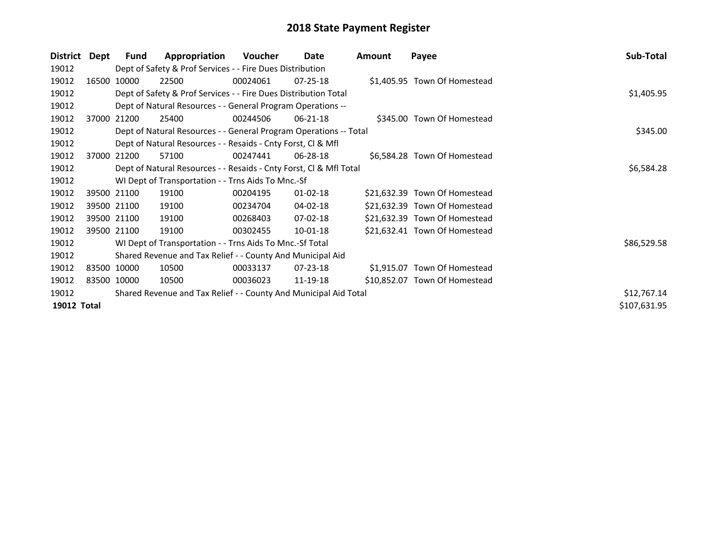| <b>District</b> | Dept | Fund        | Appropriation                                                      | Voucher  | Date           | Amount | Payee                         | Sub-Total    |
|-----------------|------|-------------|--------------------------------------------------------------------|----------|----------------|--------|-------------------------------|--------------|
| 19012           |      |             | Dept of Safety & Prof Services - - Fire Dues Distribution          |          |                |        |                               |              |
| 19012           |      | 16500 10000 | 22500                                                              | 00024061 | $07 - 25 - 18$ |        | \$1,405.95 Town Of Homestead  |              |
| 19012           |      |             | Dept of Safety & Prof Services - - Fire Dues Distribution Total    |          |                |        |                               | \$1,405.95   |
| 19012           |      |             | Dept of Natural Resources - - General Program Operations --        |          |                |        |                               |              |
| 19012           |      | 37000 21200 | 25400                                                              | 00244506 | 06-21-18       |        | \$345.00 Town Of Homestead    |              |
| 19012           |      |             | Dept of Natural Resources - - General Program Operations -- Total  |          |                |        |                               | \$345.00     |
| 19012           |      |             | Dept of Natural Resources - - Resaids - Cnty Forst, CI & Mfl       |          |                |        |                               |              |
| 19012           |      | 37000 21200 | 57100                                                              | 00247441 | $06 - 28 - 18$ |        | \$6,584.28 Town Of Homestead  |              |
| 19012           |      |             | Dept of Natural Resources - - Resaids - Cnty Forst, Cl & Mfl Total |          | \$6,584.28     |        |                               |              |
| 19012           |      |             | WI Dept of Transportation - - Trns Aids To Mnc.-Sf                 |          |                |        |                               |              |
| 19012           |      | 39500 21100 | 19100                                                              | 00204195 | $01 - 02 - 18$ |        | \$21,632.39 Town Of Homestead |              |
| 19012           |      | 39500 21100 | 19100                                                              | 00234704 | 04-02-18       |        | \$21,632.39 Town Of Homestead |              |
| 19012           |      | 39500 21100 | 19100                                                              | 00268403 | 07-02-18       |        | \$21,632.39 Town Of Homestead |              |
| 19012           |      | 39500 21100 | 19100                                                              | 00302455 | 10-01-18       |        | \$21,632.41 Town Of Homestead |              |
| 19012           |      |             | WI Dept of Transportation - - Trns Aids To Mnc.-Sf Total           |          |                |        |                               | \$86,529.58  |
| 19012           |      |             | Shared Revenue and Tax Relief - - County And Municipal Aid         |          |                |        |                               |              |
| 19012           |      | 83500 10000 | 10500                                                              | 00033137 | 07-23-18       |        | \$1,915.07 Town Of Homestead  |              |
| 19012           |      | 83500 10000 | 10500                                                              | 00036023 | 11-19-18       |        | \$10,852.07 Town Of Homestead |              |
| 19012           |      |             | Shared Revenue and Tax Relief - - County And Municipal Aid Total   |          |                |        |                               | \$12,767.14  |
| 19012 Total     |      |             |                                                                    |          |                |        |                               | \$107,631.95 |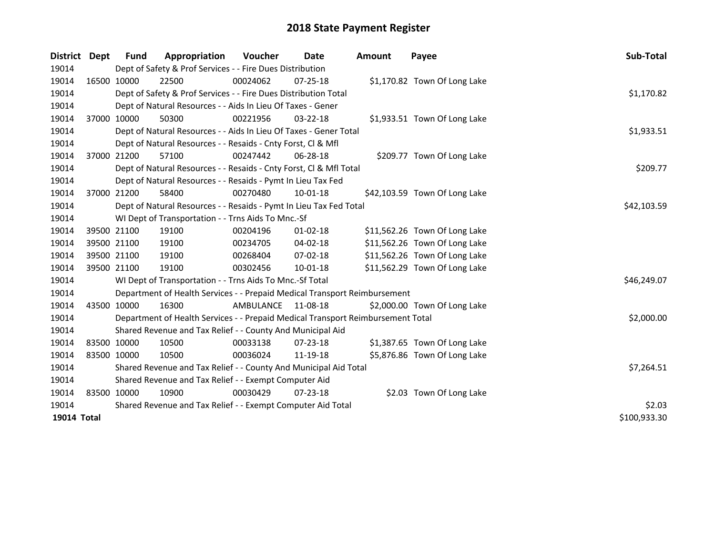| <b>District</b> | <b>Dept</b> | <b>Fund</b> | Appropriation                                                                   | Voucher            | <b>Date</b>    | <b>Amount</b> | Payee                         | Sub-Total    |
|-----------------|-------------|-------------|---------------------------------------------------------------------------------|--------------------|----------------|---------------|-------------------------------|--------------|
| 19014           |             |             | Dept of Safety & Prof Services - - Fire Dues Distribution                       |                    |                |               |                               |              |
| 19014           | 16500 10000 |             | 22500                                                                           | 00024062           | 07-25-18       |               | \$1,170.82 Town Of Long Lake  |              |
| 19014           |             |             | Dept of Safety & Prof Services - - Fire Dues Distribution Total                 |                    |                |               |                               | \$1,170.82   |
| 19014           |             |             | Dept of Natural Resources - - Aids In Lieu Of Taxes - Gener                     |                    |                |               |                               |              |
| 19014           |             | 37000 10000 | 50300                                                                           | 00221956           | 03-22-18       |               | \$1,933.51 Town Of Long Lake  |              |
| 19014           |             |             | Dept of Natural Resources - - Aids In Lieu Of Taxes - Gener Total               |                    |                |               |                               | \$1,933.51   |
| 19014           |             |             | Dept of Natural Resources - - Resaids - Cnty Forst, Cl & Mfl                    |                    |                |               |                               |              |
| 19014           | 37000 21200 |             | 57100                                                                           | 00247442           | 06-28-18       |               | \$209.77 Town Of Long Lake    |              |
| 19014           |             |             | Dept of Natural Resources - - Resaids - Cnty Forst, Cl & Mfl Total              |                    |                |               |                               | \$209.77     |
| 19014           |             |             | Dept of Natural Resources - - Resaids - Pymt In Lieu Tax Fed                    |                    |                |               |                               |              |
| 19014           | 37000 21200 |             | 58400                                                                           | 00270480           | 10-01-18       |               | \$42,103.59 Town Of Long Lake |              |
| 19014           |             |             | Dept of Natural Resources - - Resaids - Pymt In Lieu Tax Fed Total              | \$42,103.59        |                |               |                               |              |
| 19014           |             |             | WI Dept of Transportation - - Trns Aids To Mnc.-Sf                              |                    |                |               |                               |              |
| 19014           |             | 39500 21100 | 19100                                                                           | 00204196           | $01 - 02 - 18$ |               | \$11,562.26 Town Of Long Lake |              |
| 19014           |             | 39500 21100 | 19100                                                                           | 00234705           | $04 - 02 - 18$ |               | \$11,562.26 Town Of Long Lake |              |
| 19014           |             | 39500 21100 | 19100                                                                           | 00268404           | $07 - 02 - 18$ |               | \$11,562.26 Town Of Long Lake |              |
| 19014           | 39500 21100 |             | 19100                                                                           | 00302456           | 10-01-18       |               | \$11,562.29 Town Of Long Lake |              |
| 19014           |             |             | WI Dept of Transportation - - Trns Aids To Mnc.-Sf Total                        |                    |                |               |                               | \$46,249.07  |
| 19014           |             |             | Department of Health Services - - Prepaid Medical Transport Reimbursement       |                    |                |               |                               |              |
| 19014           | 43500 10000 |             | 16300                                                                           | AMBULANCE 11-08-18 |                |               | \$2,000.00 Town Of Long Lake  |              |
| 19014           |             |             | Department of Health Services - - Prepaid Medical Transport Reimbursement Total |                    |                |               |                               | \$2,000.00   |
| 19014           |             |             | Shared Revenue and Tax Relief - - County And Municipal Aid                      |                    |                |               |                               |              |
| 19014           | 83500 10000 |             | 10500                                                                           | 00033138           | $07 - 23 - 18$ |               | \$1,387.65 Town Of Long Lake  |              |
| 19014           | 83500 10000 |             | 10500                                                                           | 00036024           | 11-19-18       |               | \$5,876.86 Town Of Long Lake  |              |
| 19014           |             |             | Shared Revenue and Tax Relief - - County And Municipal Aid Total                |                    |                |               |                               | \$7,264.51   |
| 19014           |             |             | Shared Revenue and Tax Relief - - Exempt Computer Aid                           |                    |                |               |                               |              |
| 19014           | 83500 10000 |             | 10900                                                                           | 00030429           | $07 - 23 - 18$ |               | \$2.03 Town Of Long Lake      |              |
| 19014           |             |             | Shared Revenue and Tax Relief - - Exempt Computer Aid Total                     |                    |                |               |                               | \$2.03       |
| 19014 Total     |             |             |                                                                                 |                    |                |               |                               | \$100,933.30 |